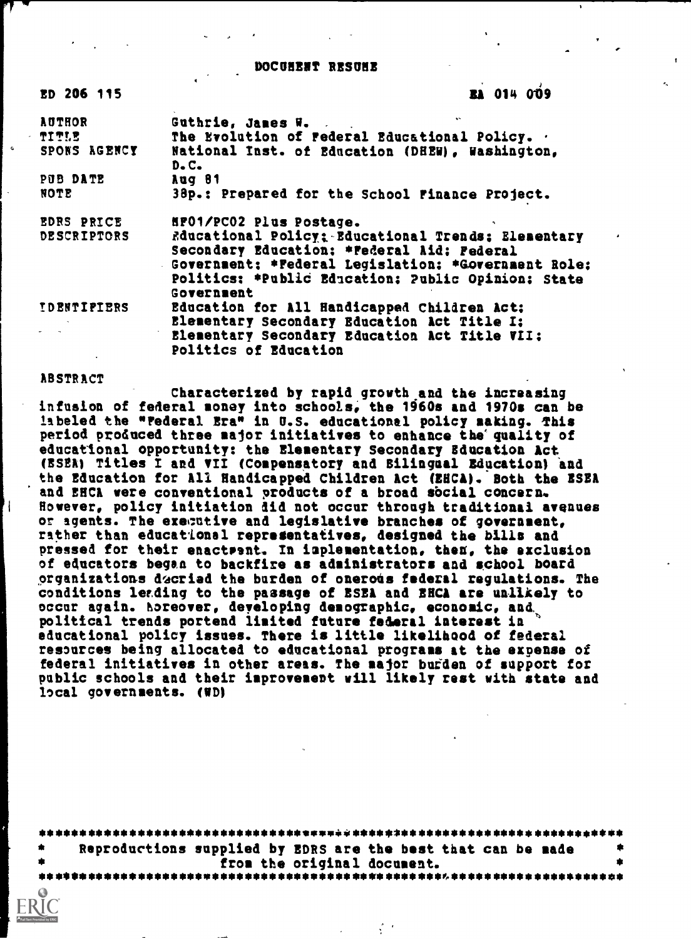#### DOCUNE\$T RESUME

| ED 206 115         | <b>EA 014 009</b>                                                  |
|--------------------|--------------------------------------------------------------------|
| <b>AUTHOR</b>      | $\mathbf{v}$<br>Guthrie, James W.                                  |
| TITLE              | The Evolution of Federal Educational Policy. .                     |
| SPONS AGENCY       | National Inst. of Education (DHEW), Washington,<br>$D - C -$       |
| PUB DATE           | Aug 81                                                             |
| NOTE               | 38p.: Prepared for the School Finance Project.                     |
| <b>EDRS PRICE</b>  | HPO1/PCO2 Plus Postage.                                            |
| <b>DESCRIPTORS</b> | Rducational Policy: Educational Trends: Elementary<br>$\pmb{\ast}$ |
|                    | Secondary Education: * Federal Aid; Federal                        |
|                    | Government; *Federal Legislation; *Government Role;                |
|                    | Politics: *Public Education; Public Opinion; State<br>Government   |
| <b>IDENTIPIERS</b> | Education for All Handicapped Children Act:                        |
|                    | Elementary Secondary Education Act Title I:                        |
|                    | Elementary Secondary Education Act Title VII:                      |
|                    | Politics of Education                                              |

ABSTRACT

Characterized by rapid growth and the increasing infusion of federal money into schools, the 1960s and 1970s can be labeled the "Federal Era" in U.S. educational policy making. This period produced three major initiatives to enhance the quality of educational opportunity: the Elementary Secondary Education Act (ESEA) Titles I and VII (Compensatory and Bilingual Education) and the Education for All Handicapped Children Act (EHCA). Both the ESEA and EHCA were conventional products of a broad social concern. However, policy initiation did not occur through traditional avenues or agents. The executive and legislative branches of government, rather than educational representatives, designed the bills and pressed for their enactsent. In implementation, then, the exclusion of educators began to backfire as administrators and school board organizations dacried the burden of onerous federal regulations. The conditions leading to the passage of ESEA and EHCA are unlikely to occur again. horeover, deyeloping demographic, economic, and, political trends portend limited future federal interest in educational policy issues. There is little likelihood of federal resources being allocated to educational programs at the expense of federal initiatives in other areas. The major bufden of support for public schools and their improvement will likely rest with state and local governments. (ND)

| - 金 | Reproductions supplied by EDRS are the best that can be made |  |  |
|-----|--------------------------------------------------------------|--|--|
|     | from the original document.                                  |  |  |
|     |                                                              |  |  |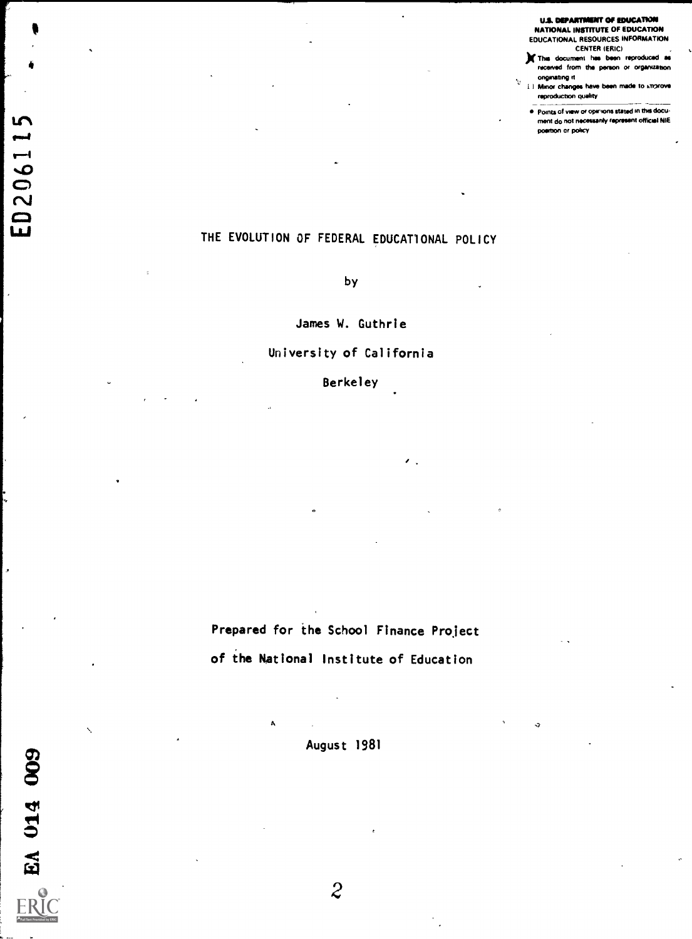#### U.S. DEPARTMENT OF EDUCATION<br>NATIONAL INSTITUTE OF EDUCATION NATIONAL INSTITUTE OF EDUCATION EDUCATIONAL RESOURCES INFORMATION

CENTER (ERIC) )111. TM document his been reproduced is received from the person or organization

onginating it i.) Minor changes have been made to improve reproduction quality

V

 $\ddot{\mathbf{a}}$ 

eirommolvoinvoromiummabromtbiscWro 1.11 neat do not Waal\* mmoom offical NIE poettion or policy

# THE EVOLUTION OF FEDERAL EDUCATIONAL POLICY

by

James W. Guthrie

### University of California

#### Berkeley

 $\prime$  .

Prepared for the School Finance Project of the National Institute of Education

August 1981

A

 $\bullet$  and the set of  $\bullet$ 

famt

ED2061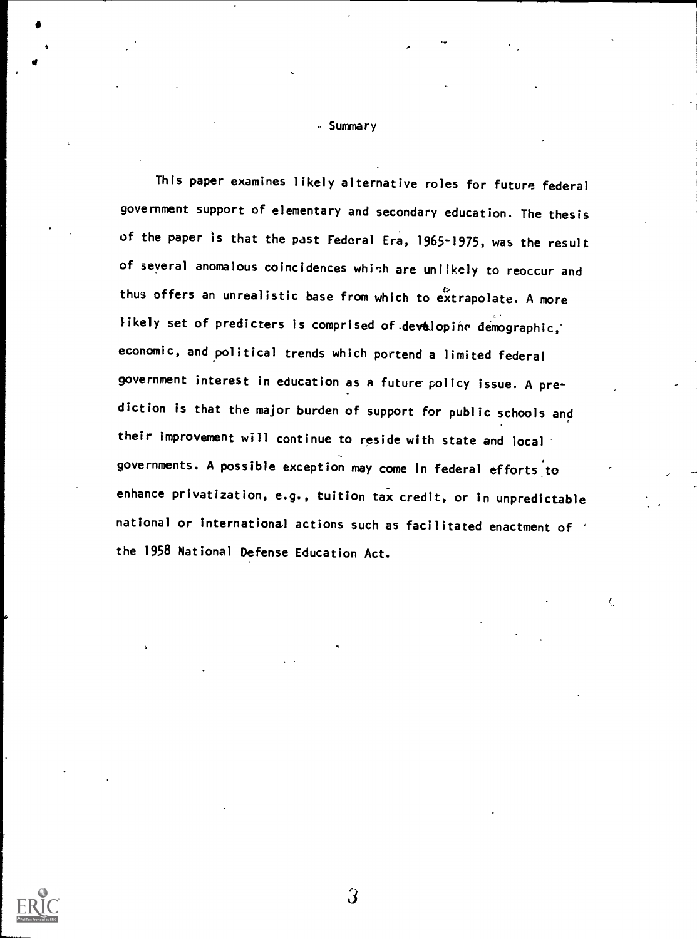- Summary

This paper examines likely alternative roles for future federal government support of elementary and secondary education. The thesis of the paper is that the past Federal Era, 1965-1975, was the result of several anomalous coincidences which are uniikely to reoccur and thus offers an unrealistic base from which to extrapolate. A more likely set of predicters is comprised of devalopine demographic, economic, and political trends which portend a limited federal government interest in education as a future policy issue. A prediction is that the major burden of support for public schools and their improvement will continue to reside with state and local governments. A possible exception may come in federal efforts to enhance privatization, e.g., tuition tax credit, or in unpredictable national or international actions such as facilitated enactment of the 1958 National Defense Education Act.

Ċ



 $\hat{\bm{J}}$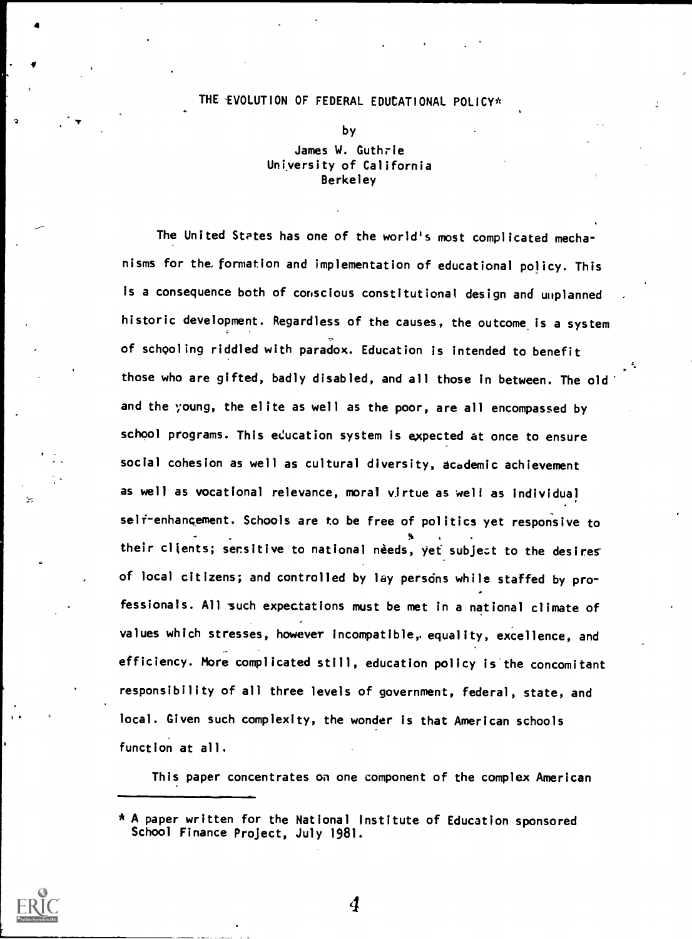#### THE -EVOLUTION OF FEDERAL EDUCATIONAL POLICY\*

by

## James W. Guthrie University of California Berkeley

The United States has one of the world's most complicated mechanisms for the. formation and implementation of educational policy. This is a consequence both of conscious constitutional design and unplanned historic development. Regardless of the causes, the outcome is a system of schooling riddled with paradox. Education is intended to benefit those who are gifted, badly disabled, and all those in between. The old and the young, the elite as well as the poor, are all encompassed by school programs. This education system is expected at once to ensure social cohesion as well as cultural diversity, academic achievement as well as vocational relevance, moral virtue as well as individual self-enhancement. Schools are to be free of politics yet responsive to their clients; sensitive to national needs, yet subject to the desires of local citizens; and controlled by lay persons while staffed by professionals. All such expectations must be met in a national climate of values which stresses, however incompatible, equality, excellence, and efficiency. More complicated still, education policy is'the concomitant responsibility of all three levels of government, federal, state, and local. Given such complexity, the wonder is that American schools function at all.

This paper concentrates on one component of the complex American



<sup>\*</sup> A paper written for the National Institute of Education sponsored School Finance Project, July 1981.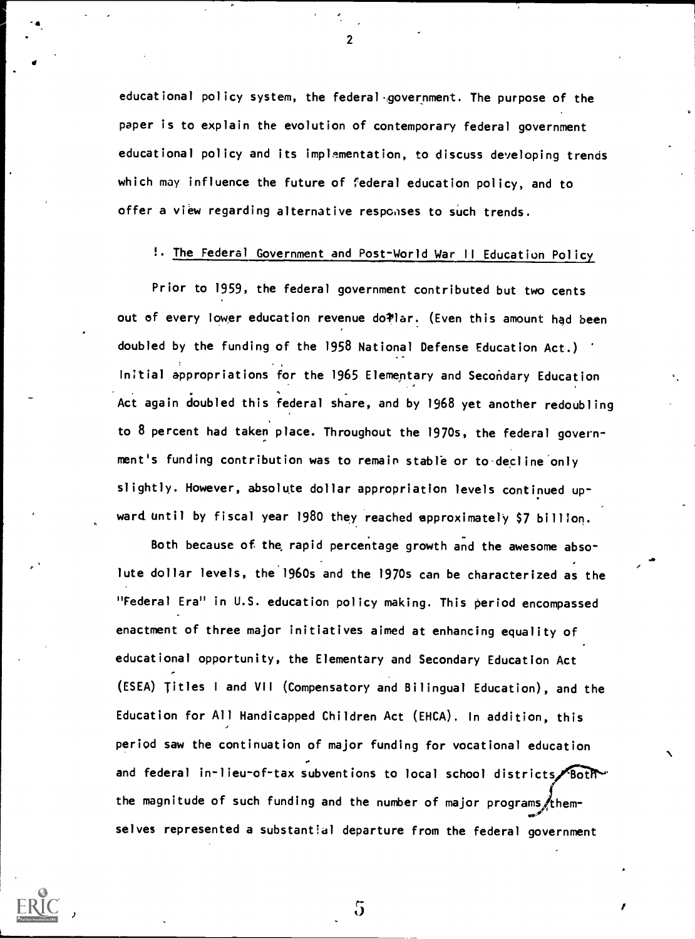educational policy system, the federal government. The purpose of the paper is to explain the evolution of contemporary federal government educational policy and its implementation, to discuss developing trends which may influence the future of federal education policy, and to offer a view regarding alternative responses to such trends.

 $\mathbf{z}$  and  $\mathbf{z}$ 

# !. The Federal Government and Post-World War II Education Polic

Prior to 1959, the federal government contributed but two cents out of every lower education revenue do Plar. (Even this amount had been doubled by the funding of the 1958 National Defense Education Act.) Initial appropriations for the 1965 Elementary and Secondary Education Act again doubled this federal share, and by 1968 yet another redoubling to 8 percent had taken place. Throughout the 1970s, the federal govern- , ment's funding contribution was to remain stable or to decline only slightly. However, absolute dollar appropriation levels continued up- . ward until by fiscal year 1980 they reached approximately \$7 billion.

Both because of the rapid percentage growth and the awesome absolute dollar levels, the 1960s and the 1970s can be characterized as the "Federal Era" in U.S. education policy making. This period encompassed enactment of three major initiatives aimed at enhancing equality of educational opportunity, the Elementary and Secondary Education Act (ESEA) Titles <sup>I</sup> and VII (Compensatory and Bilingual Education), and the Education for All Handicapped Children Act (EHCA). In addition, this period saw the continuation of major funding for vocational education and federal in-lieu-of-tax subventions to local school districts, Both the magnitude of such funding and the number of major programs /themselves represented a substantial departure from the federal government

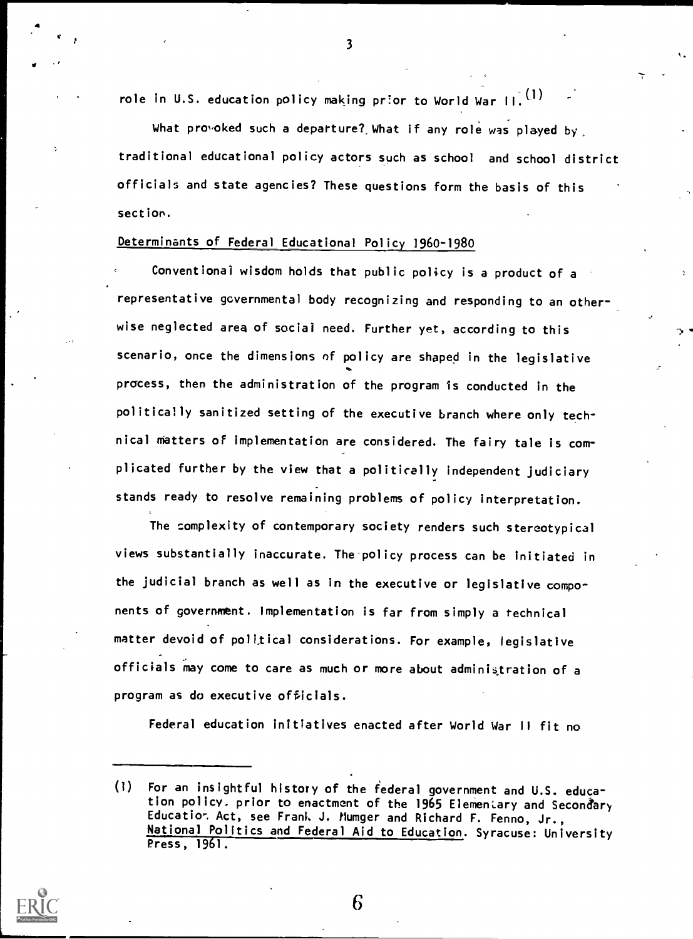role in U.S. education policy making prior to World War  $H^1(\Omega)$ 

What provoked such a departure? What if any role was played by traditional educational policy actors such as school and school district officials and state agencies? These questions form the basis of this section.

# Determinants of Federal Educational Policy 1960-1980

Conventional wisdom holds that public policy is a product of a representative governmental body recognizing and responding to an otherwise neglected area of social need. Further yet, according to this scenario, once the dimensions of policy are shaped in the legislative process, then the administration of the program Is conducted in the politically sanitized setting of the executive branch where only technical matters of implementation are considered. The fairy tale is com plicated further by the view that a politically independent judiciary stands ready to resolve remaining problems of policy interpretation.

The complexity of contemporary society renders such stereotypical views substantially inaccurate. The policy process can be initiated in the judicial branch as well as in the executive or legislative components of government. Implementation is far from simply a technical matter devoid of political considerations. For example, legislative officials may come to care as much or more about administration of a program as do executive officials.

Federal education initiatives enacted after World War II fit no

6



 $\overline{\mathbf{3}}$ 

<sup>(1)</sup> For an insightful history of the federal government and U.S. education policy. prior to enactment of the 1965 Elementary and Secondary Educatior. Act, see Frank J. Mumger and Richard F. Fenno, Jr., National Politics and Federal Aid to Education. Syracuse: University Press, 1961.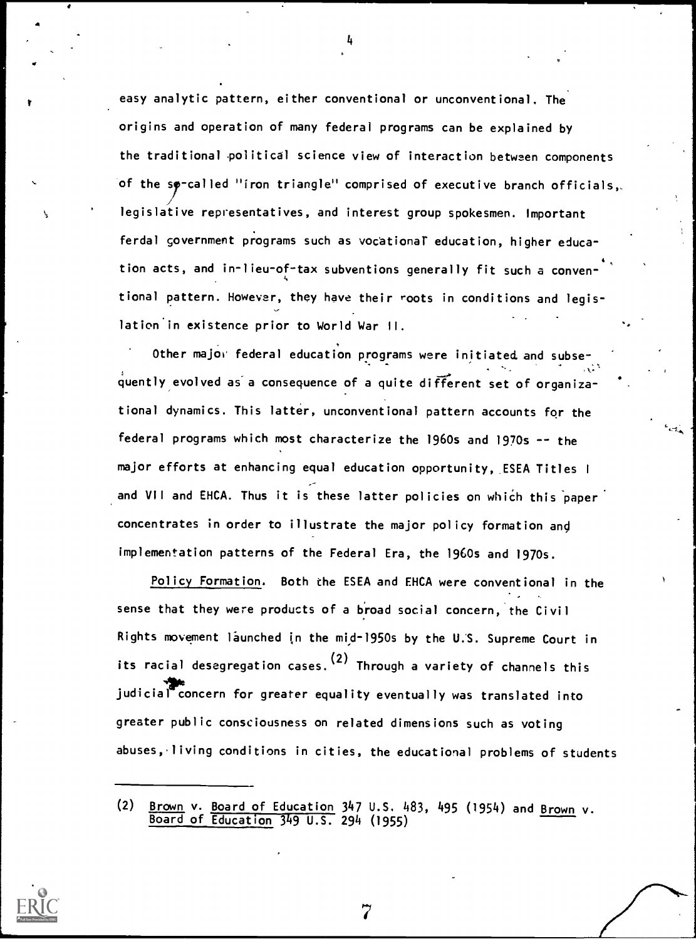easy analytic pattern, either conventional or unconventional. The origins and operation of many federal programs can be explained by the traditional political science view of interaction between components of the sp-called "iron triangle" comprised of executive branch officials,. legislative representatives, and interest group spokesmen. Important ferdal government programs such as vocational education, higher educa-4, tion acts, and in-lieu-of-tax subventions generally fit such a conventional pattern. However, they have their roots in conditions and legislation'in existence prior to World War II.

4

Other major federal education programs were initiated and subse-. quently evolved as a consequence of a quite different set of organizational dynamics. This latter, unconventional pattern accounts for the federal programs which most characterize the 1960s and 1970s -- the major efforts at enhancing equal education opportunity, ESEA Titles <sup>I</sup> and VII and EHCA. Thus it is these latter policies on which this paper concentrates in order to illustrate the major policy formation ang implementation patterns of the Federal Era, the 1960s and 1970s.

Policy Formation. Both the ESEA and EHCA were conventional in the sense that they were products of a broad social concern, the Civil Rights movement launched in the mid-1950s by the U.S. Supreme Court in its racial desegregation cases. (2) Through a variety of channels this judicial concern for greater equality eventually was translated into greater public consciousness on related dimensions such as voting abuses,, living conditions in cities, the educational problems of students



<sup>(2) &</sup>lt;u>Brown v. Board of Education</u> 347 U.S. 483, 495 (1954) and <u>Brown</u> v. Board of Education 349 U.S. 294 (1955)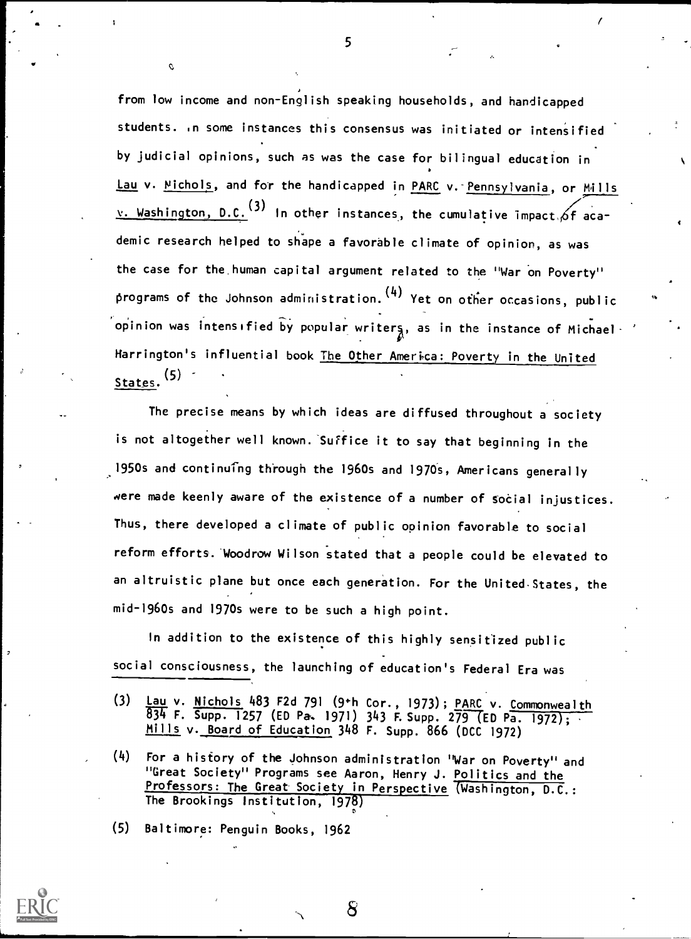from low income and non-English speaking households, and handicapped students. .n some instances this consensus was initiated or intensified by judicial opinions, such as was the case for bilingual education in Lau v. Michols, and for the handicapped in PARC v. Pennsylvania, or Mills v. Washington, D.C.  $(3)$  In other instances, the cumulative impact of academic research helped to shape a favorable climate of opinion, as was the case for the human capital argument related to the "War on Poverty" programs of the Johnson administration.  $(4)$  Yet on other occasions, public opinion was intensified by popular writers, as in the instance of Michael-Harrington's influential book The Other America: Poverty in the United States.<sup>13/</sup><sub>11</sub>

The precise means by which ideas are diffused throughout a society is not altogether well known. Suffice it to say that beginning in the 1950s and continuing through the 1960s and 1970s, Americans generally were made keenly aware of the existence of a number of social injustices. Thus, there developed a climate of public opinion favorable to social reform efforts. Woodrow Wilson stated that a people could be elevated to an altruistic plane but once each generation. For the United States, the mid-1960s and 1970s were to be such a high point.

In addition to the existence of this highly sensitized public social consciousness, the launching of education's Federal Era was

- (3) Lau v. Nichols 483 F2d 791 (9th Cor., 1973); PARC v. Commonwealth 834 F. Supp. 1257 (ED Pa. 1971) 343 F. Supp. 279 (ED Pa. 1972); Mills v. Board of Education 348 F. Supp. 866 (DCC 1972)
- (4) For a history of the Johnson administration "War on Poverty" and "Great Society" Programs see Aaron, Henry J. Politics and the Professors: The Great Society in Perspective (Washington, D.C.: The Brookings Institution, 1978)
- (5) Baltimore: Penguin Books, 1962 1



5

Ò.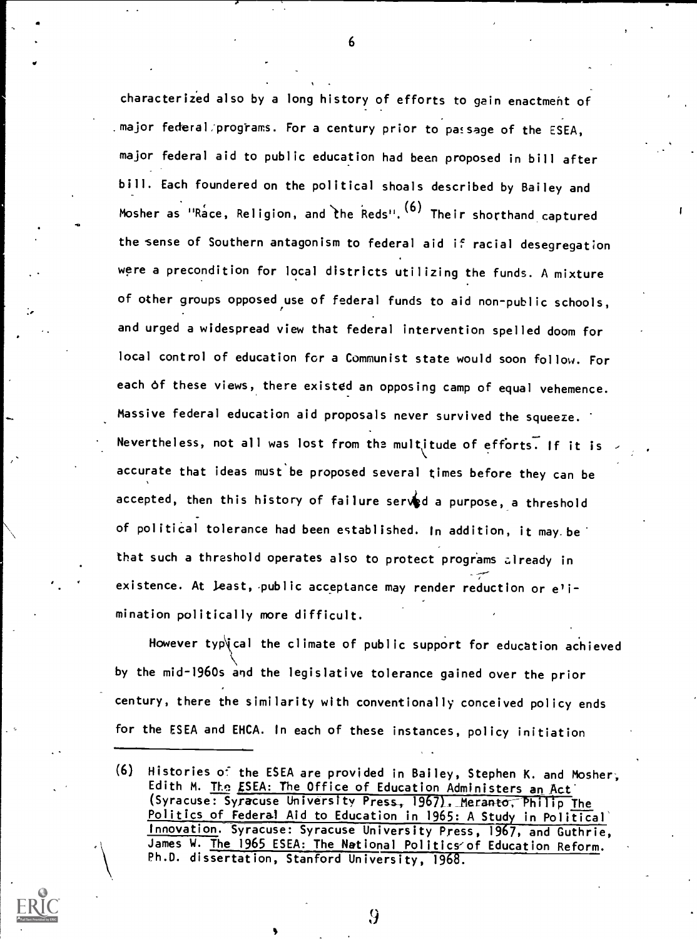characterized also by a long history of efforts to gain enactment of major federal/programs. For a century prior to passage of the ESEA, major federal aid to public education had been proposed in bill after bill. Each foundered on the political shoals described by Bailey and Mosher as "Race, Religion, and the Reds".  $(6)$  Their shorthand captured the sense of Southern antagonism to federal aid if racial desegregation were a precondition for local districts utilizing the funds. A mixture of other groups opposed use of federal funds to aid non-public schools, and urged a widespread view that federal intervention spelled doom for local control of education for a Communist state would soon follow. For each of these views, there existed an opposing camp of equal vehemence. Massive federal education aid proposals never survived the squeeze. Nevertheless, not all was lost from the multitude of efforts. If it is accurate that ideas must be proposed several times before they can be accepted, then this history of failure served a purpose, a threshold of political tolerance had been established. In addition, it may be that such a threshold operates also to protect programs already in existence. At least, public acceptance may render reduction or elimination politically more difficult.

However typ\ical the climate of public support for education achieved by the mid-1960s and the legislative tolerance gained over the prior century, there the similarity with conventionally conceived policy ends for the ESEA and EHCA. In each of these instances, policy initiation

 $\sigma$  and  $\sigma$ 

<sup>(6)</sup> Histories o' the ESEA are provided in Bailey, Stephen K. and Mosher, Edith M. The ESEA: The Office of Education Administers an Act (Syracuse: Syracuse University Press, 1967). Meranto, Philip The Politics of Federal Aid to Education in 1965: A Study in Political' Innovation. Syracuse: Syracuse University Press, 1967, and Guthrie, James W. The 1965 ESEA: The National Politics/of Education Reform. Ph.D. dissertation, Stanford University, 1968.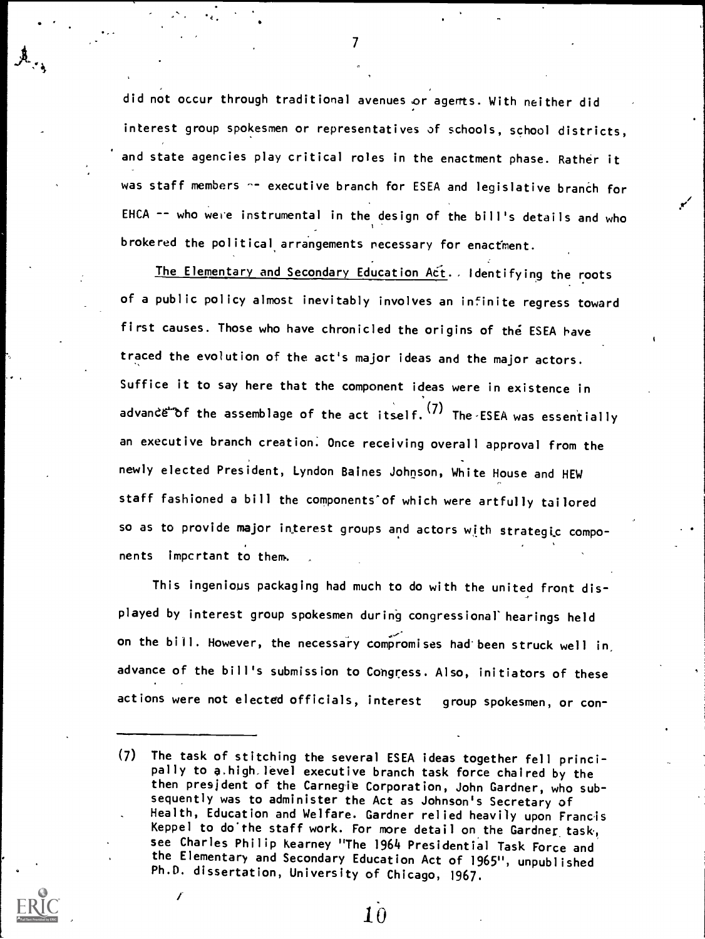did not occur through traditional avenues or agents. With neither did interest group spokesmen or representatives of schools, school districts, and state agencies play critical roles in the enactment phase. Rather it was staff members -- executive branch for ESEA and legislative branch for EHCA  $-$  who were instrumental in the design of the bill's details and who brokered the political arrangements necessary for enactment.

 $\mathcal{T}$  and  $\mathcal{T}$ 

 $t_{\epsilon}$  .  $t_{\epsilon}$ 

The Elementary and Secondary Education Act. Identifying the roots of a public policy almost inevitably involves an infinite regress toward first causes. Those who have chronicled the origins of the ESEA have traced the evolution of the act's major ideas and the major actors. Suffice it to say here that the component ideas were in existence in advandetof the assemblage of the act itself.  $(7)$  The ESEA was essentially an executive branch creation. Once receiving overall approval from the newly elected President, Lyndon Baines Johnson, White House and HEW staff fashioned a bill the components'of which were artfully tailored so as to provide major interest groups and actors with strategic components impertant to them.

This ingenious packaging had much to do with the united front displayed by interest group spokesmen during congressional' hearings held on the bill. However, the necessary compromises had been struck well in advance of the bill's submission to Congress. Also, initiators of these actions were not elected officials, interest group spokesmen, or con-

<sup>(7)</sup> The task of stitching the several ESEA ideas together fell principally to a.high,level executive branch task force chaired by the then president of the Carnegie Corporation, John Gardner, who subsequently was to administer the Act as Johnson's Secretary of Health, Education and Welfare. Gardner relied heavily upon Francis Keppel to do'the staff work. For more detail on the Gardner task, see Charles Philip Kearney "The 1964 Presidential Task Force and the Elementary and Secondary Education Act of 1965", unpublished Ph.D. dissertation, University of Chicago, 1967.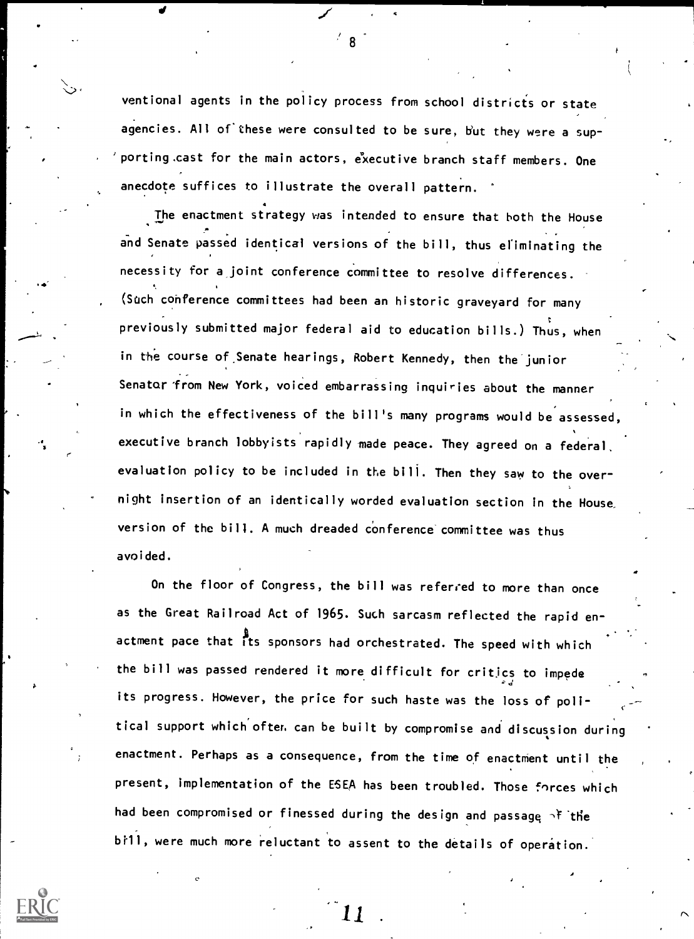ventional agents in the policy process from school districts or state agencies. All of'these were consulted to be sure, b'ut they were a sup porting cast for the main actors, executive branch staff members. One anecdote suffices to illustrate the overall pattern.

The enactment strategy was intended to ensure that both the House and Senate passed identical versions of the bill, thus eliminating the necessity for a joint conference committee to resolve differences.  $\mathbf{A}$  . The contract of the contract of the contract of the contract of the contract of the contract of the contract of the contract of the contract of the contract of the contract of the contract of the contract of th (Such conference committees had been an historic graveyard for many previously submitted major federal aid to education bills.) Thus, when  $\overline{\phantom{a}}$ in the course of Senate hearings, Robert Kennedy, then the junior Senator from New York, voiced embarrassing inquiries about the manner in which the effectiveness of the bill's many programs would be assessed, executive branch lobbyists rapidly made peace. They agreed on a federal, evaluation policy to be included in the bill. Then they saw to the overnight insertion of an identically worded evaluation section in the House, version of the bill. A much dreaded conference committee was thus avoided.

> On the floor of Congress, the bill was referred to more than once as the Great Railroad Act of 1965. Such sarcasm reflected the rapid en actment pace that Its sponsors had orchestrated. The speed with which the bill was passed rendered it more difficult for critics to impede its progress. However, the price for such haste was the loss of polltical support which ofter, can be built by compromise and discussion during enactment. Perhaps as a consequence, from the time of enactment until the present, implementation of the ESEA has been troubled. Those forces which had been compromised or finessed during the design and passage  $\gamma$  ithe bill, were much more reluctant to assent to the details of operation.



r

 $\mathcal{L}$  . The contract of  $\mathcal{L}$ 

t

r.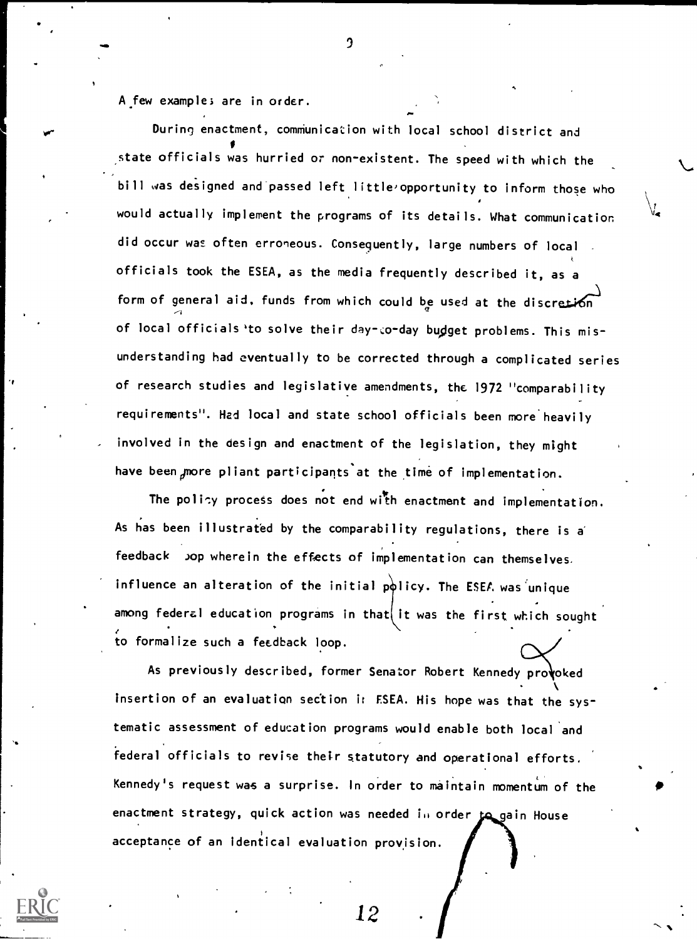ro- A few example; are in order. During enactment, communication with local school district and state officials was hurried or non-existent. The speed with which the bill was designed and passed left little opportunity to inform those who would actually implement the programs of its details. What communication did occur was often erroneous. Consequently, large numbers of local officials took the ESEA, as the media frequently described it, as a form of general aid, funds from which could be used at the discretion of local officials 'to solve their day-co-day budget problems. This misunderstanding had eventually to be corrected through a complicated series of research studies and legislative amendments, the 1972 "comparability requirements". Had local and state school officials been more'heavily involved in the design and enactment of the legislation, they might have been more pliant participants at the time of implementation.

ე

 $\blacksquare$ 

'1,14

 $\bullet$ 

The policy process does not end with enactment and implementation. As has been illustrated by the comparability regulations, there is a feedback >op wherein the effects of implementation can themselves. influence an alteration of the initial policy. The ESEA was unique among federal education programs in that it was the first which sought to formalize such a feedback loop.

As previously described, former Senator Robert Kennedy provoked insertion of an evaluation section i: ESEA. His hope was that the systematic assessment of education programs would enable both local and federal officials to revise their statutory and operational efforts. Kennedy's request was a surprise. In order to maintain momentum of the enactment strategy, quick action was needed in order to gain House acceptance of an identical evaluation provision.



 $12 \quad \cdot \quad$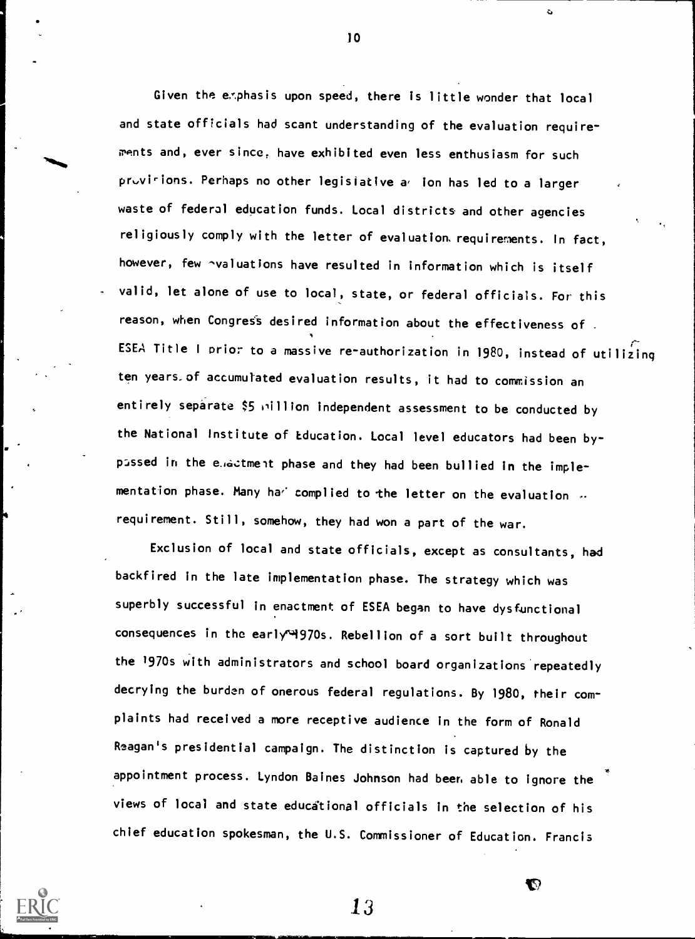Given the exphasis upon speed, there is little wonder that local and state officials had scant understanding of the evaluation requirements and, ever since, have exhibited even less enthusiasm for such provisions. Perhaps no other legisiative a ion has led to a larger waste of federal education funds. Local districts and other agencies religiously comply with the letter of evaluation. requirements. In fact, however, few avaluations have resulted in information which is itself valid, let alone of use to local, state, or federal officials. For this reason, when Congress desired information about the effectiveness of. ESEA Title <sup>I</sup> prior to a massive re-authorization in 1980, instead of utilizing ten years of accumulated evaluation results, it had to commission an entirely separate \$5 pillion independent assessment to be conducted by the National Institute of education. Local level educators had been bypassed in the e. actment phase and they had been bullied in the implementation phase. Many ha $'$  complied to the letter on the evaluation  $\mathscr{L}$ requirement. Still, somehow, they had won a part of the war.

Exclusion of local and state officials, except as consultants, had backfired in the late implementation phase. The strategy which was superbly successful in enactment of ESEA began to have dysfunctional consequences in the early 4970s. Rebellion of a sort built throughout the '970s with administrators and school board organizations repeatedly decrying the burden of onerous federal regulations. By 1980, their complaints had received a more receptive audience in the form of Ronald Reagan's presidential campaign. The distinction is captured by the appointment process. Lyndon Baines Johnson had been able to ignore the views of local and state educdtional officials in the selection of his chief education spokesman, the U.S. Commissioner of Education. Francis rt

13



-'44110

 $10$ 

 $\bullet$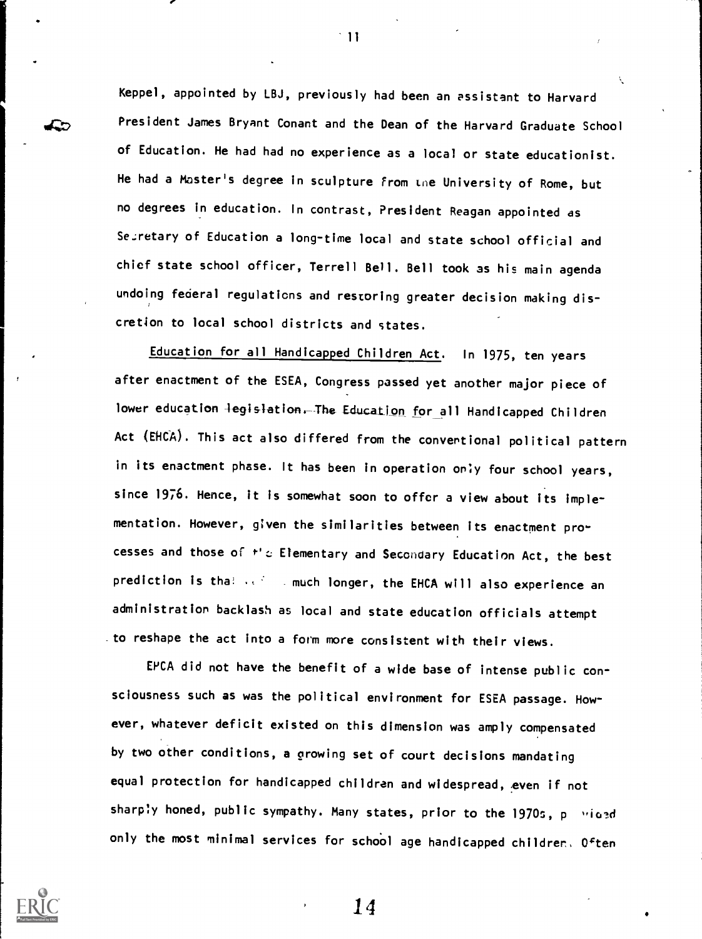Keppel, appointed by LBJ, previously had been an assistant to Harvard President James Bryant Conant and the Dean of the Harvard Graduate School of Education. He had had no experience as a local or state educationist. He had a Master's degree in sculpture From Lne University of Rome, but no degrees in education. In contrast, President Reagan appointed as Secretary of Education a long-time local and state school official and chief state school officer, Terrell Bell. Bell took as his main agenda undoing federal regulations and restoring greater decision making discretion to local school districts and states.

 $^{\circ}$  11

Education for all Handicapped Children Act. In 1975, ten years after enactment of the ESEA, Congress passed yet another major piece of lower education legislation. The Education for all Handicapped Children Act (EHCA). This act also differed from the conventional political pattern in its enactment phase. It has been in operation only four school years, since 1976. Hence, it is somewhat soon to offer a view about its implementation. However, given the similarities between its enactment processes and those of  $t'$ .c; Elementary and Secondary Education Act, the best prediction is tha!  $\cdots$  much longer, the EHCA will also experience an administration backlash as local and state education officials attempt to reshape the act into a form more consistent with their views.

EPCA did not have the benefit of a wide base of intense public consciousness such as was the political environment for ESEA passage. However, whatever deficit existed on this dimension was amply compensated by two other conditions, a growing set of court decisions mandating equal protection for handicapped children and widespread, even if not sharply honed, public sympathy. Many states, prior to the 1970s, powiaed only the most minimal services for school age handicapped children, Often



∠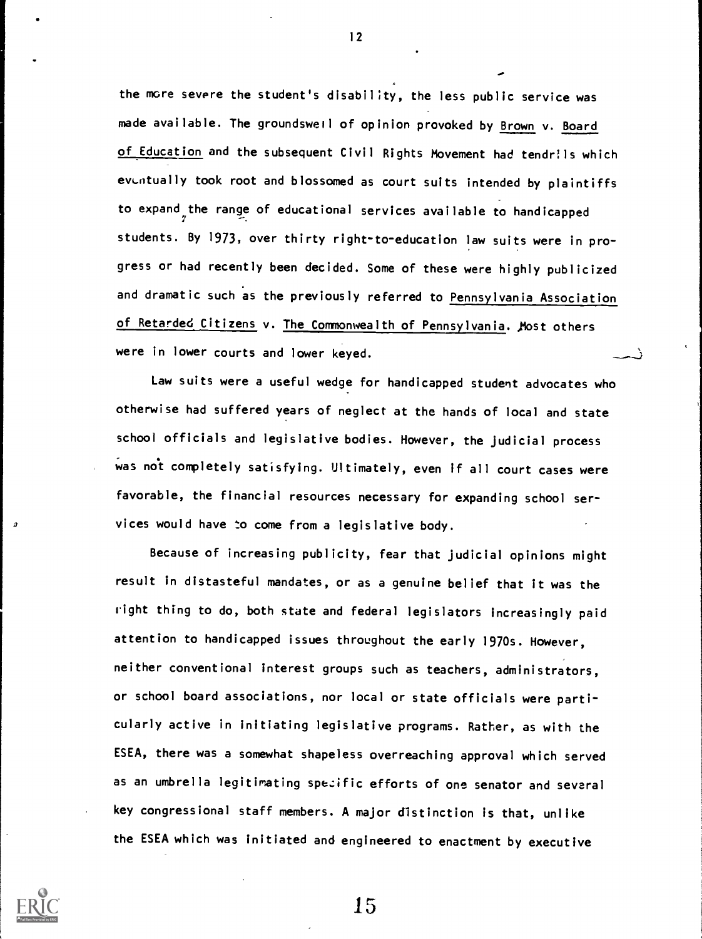the more severe the student's disability, the less public service was made available. The groundswell of opinion provoked by Brown v. Board of Education and the subsequent Civil Rights Movement had tendrils which eventually took root and blossomed as court suits intended by plaintiffs to expand the range of educational services available to handicapped 7 students. By 1973, over thirty right-to-education law suits were in progress or had recently been decided. Some of these were highly publicized and dramatic such as the previously referred to Pennsylvania Association of Retarded Citizens v. The Commonwealth of Pennsylvania. Most others were in lower courts and lower keyed.

Law suits were a useful wedge for handicapped student advocates who otherwise had suffered years of neglect at the hands of local and state school officials and legislative bodies. However, the judicial process was not completely satisfying. Ultimately, even if all court cases were favorable, the financial resources necessary for expanding school ser vices would have to come from a legislative body.

Because of increasing publicity, fear that judicial opinions might result in distasteful mandates, or as a genuine belief that it was the right thing to do, both state and federal legislators increasingly paid attention to handicapped issues throughout the early 1970s. However, neither conventional interest groups such as teachers, administrators, or school board associations, nor local or state officials were particularly active in initiating legislative programs. Rather, as with the ESEA, there was a somewhat shapeless overreaching approval which served as an umbrella legitimating spezific efforts of one senator and several key congressional staff members. A major distinction is that, unlike the ESEA which was initiated and engineered to enactment by executive



12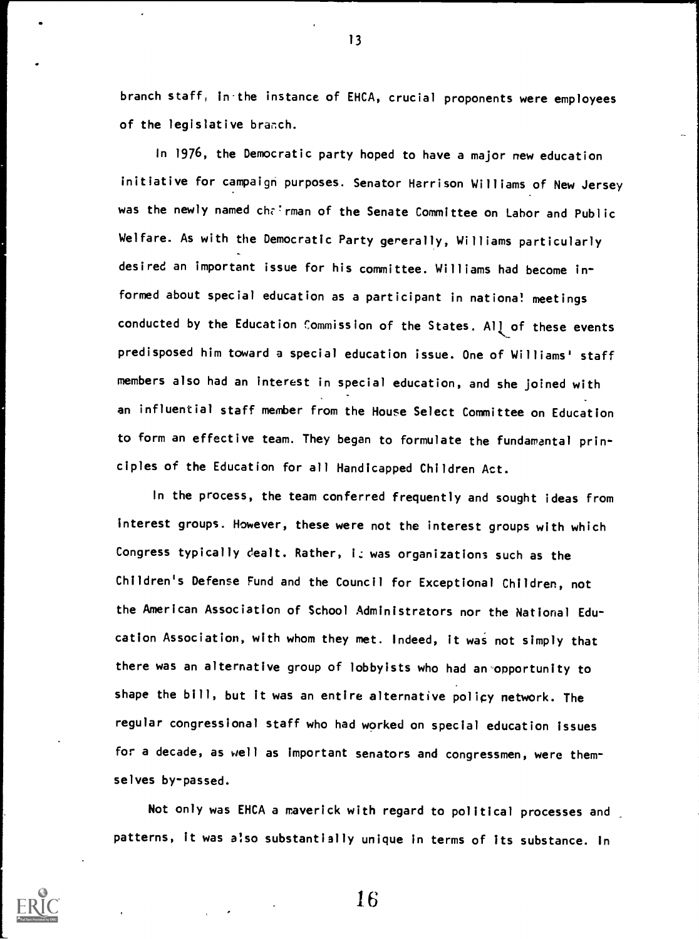branch staff, in the instance of EHCA, crucial proponents were employees of the legislative branch.

 $13$ 

In 1976, the Democratic party hoped to have a major new education initiative for campaign purposes. Senator Harrison Williams of New Jersey was the newly named chairman of the Senate Committee on Labor and Public Welfare. As with the Democratic Party gererally, Williams particularly desired an important issue for his committee. Williams had become informed about special education as a participant in national meetings conducted by the Education Commission of the States. All of these events predisposed him toward a special education issue. One of Williams' staff members also had an interest in special education, and she joined with an influential staff member from the House Select Committee on Education to form an effective team. They began to formulate the fundamental principles of the Education for all Handicapped Children Act.

In the process, the team conferred frequently and sought ideas from interest groups. However, these were not the interest groups with which Congress typically dealt. Rather, is was organizations such as the Children's Defense Fund and the Council for Exceptional Children, not the American Association of School Administrators nor the National Education Association, with whom they met. Indeed, it was not simply that there was an alternative group of lobbyists who had an opportunity to shape the bill, but it was an entire alternative policy network. The regular congressional staff who had worked on special education issues for a decade, as well as important senators and congressmen, were themselves by-passed.

Not only was EHCA a maverick with regard to political processes and patterns, it was also substantially unique in terms of its substance. In

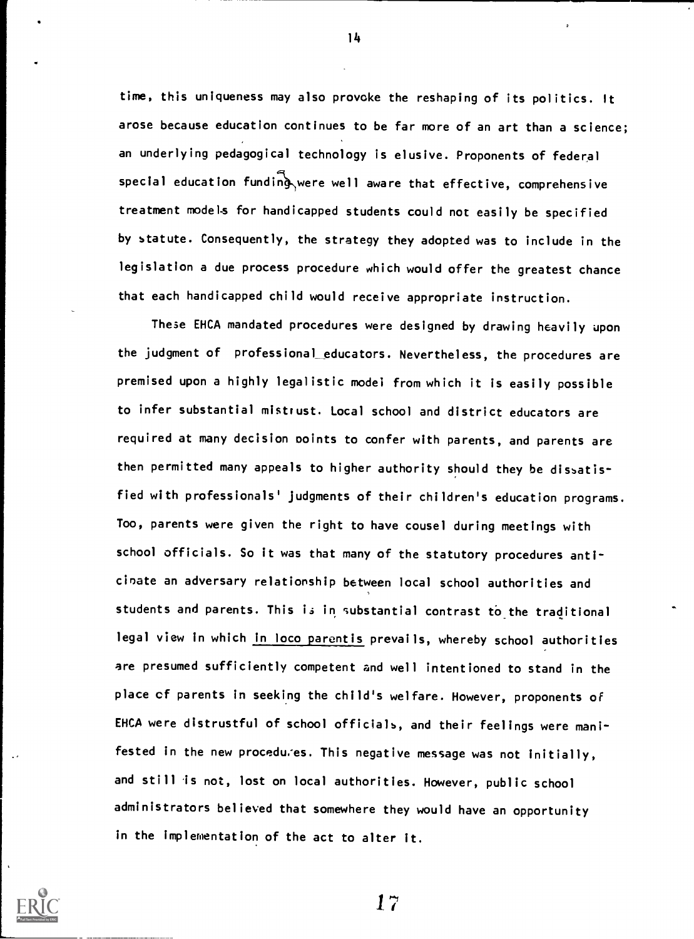time, this uniqueness may also provoke the reshaping of its politics. It arose because education continues to be far more of an art than a science; an underlying pedagogical technology is elusive. Proponents of federal special education funding were well aware that effective, comprehensive treatment models for handicapped students could not easily be specified by statute. Consequently, the strategy they adopted was to include in the legislation a due process procedure which would offer the greatest chance that each handicapped child would receive appropriate instruction.

These EHCA mandated procedures were designed by drawing heavily upon the judgment of professional educators. Nevertheless, the procedures are premised upon a highly legalistic model from which it is easily possible to infer substantial mistrust. Local school and district educators are required at many decision ooints to confer with parents, and parents are then permitted many appeals to higher authority should they be dissatisfied with professionals' judgments of their children's education programs. Too, parents were given the right to have cousel during meetings with school officials. So it was that many of the statutory procedures anticinate an adversary relationship between local school authorities and students and parents. This is in substantial contrast to\_the traditional legal view in which in loco parentis prevails, whereby school authorities are presumed sufficiently competent and well intentioned to stand in the place of parents in seeking the child's welfare. However, proponents of EHCA were distrustful of school officials, and their feelings were manifested in the new procedures. This negative message was not initially, and still is not, lost on local authorities. However, public school administrators believed that somewhere they would have an opportunity in the implementation of the act to alter it.



17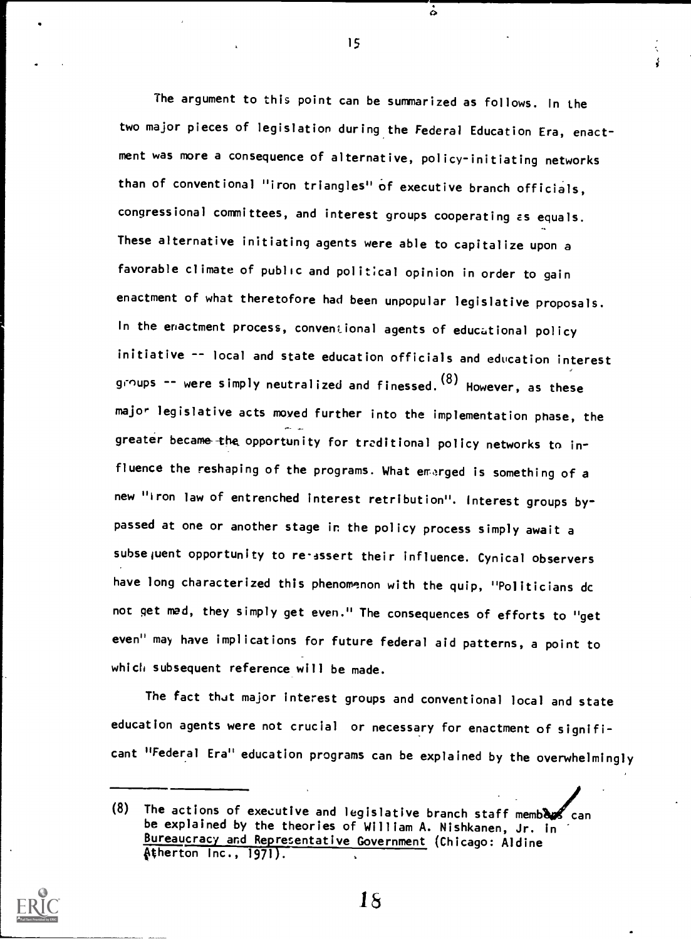The argument to this point can be summarized as follows. In the two major pieces of legislation during the Federal Education Era, enactment was more a consequence of alternative, policy-initiating networks than of conventional "iron triangles" of executive branch officials, congressional committees, and interest groups cooperating as equals. These alternative initiating agents were able to capitalize upon a favorable climate of public and political opinion in order to gain enactment of what theretofore had been unpopular legislative proposals. In the enactment process, conventional agents of educational policy initiative -- local and state education officials and education interest groups -- were simply neutralized and finessed.<sup>(o)</sup> However, as these major legislative acts moved further into the implementation phase, the greater became the opportunity for traditional policy networks to influence the reshaping of the programs. What emerged is something of a new "iron law of entrenched interest retribution". Interest groups bypassed at one or another stage in the policy process simply await a subsequent opportunity to re-assert their influence. Cynical observers have long characterized this phenomenon with the quip, "Politicians dc not get mad, they simply get even." The consequences of efforts to "get even" may have implications for future federal aid patterns, a point to which subsequent reference will be made.

The fact that major interest groups and conventional local and state education agents were not crucial or necessary for enactment of significant "Federal Era" education programs can be explained by the overwhelmingly



15

 $\ddot{\circ}$ 

1s

<sup>(8)</sup> The actions of executive and legislative branch staff members can be explained by the theories of William A. Nishkanen, Jr. in Bureaucracy and Representative Government (Chicago: Aldine  $A$ therton Inc., 1971).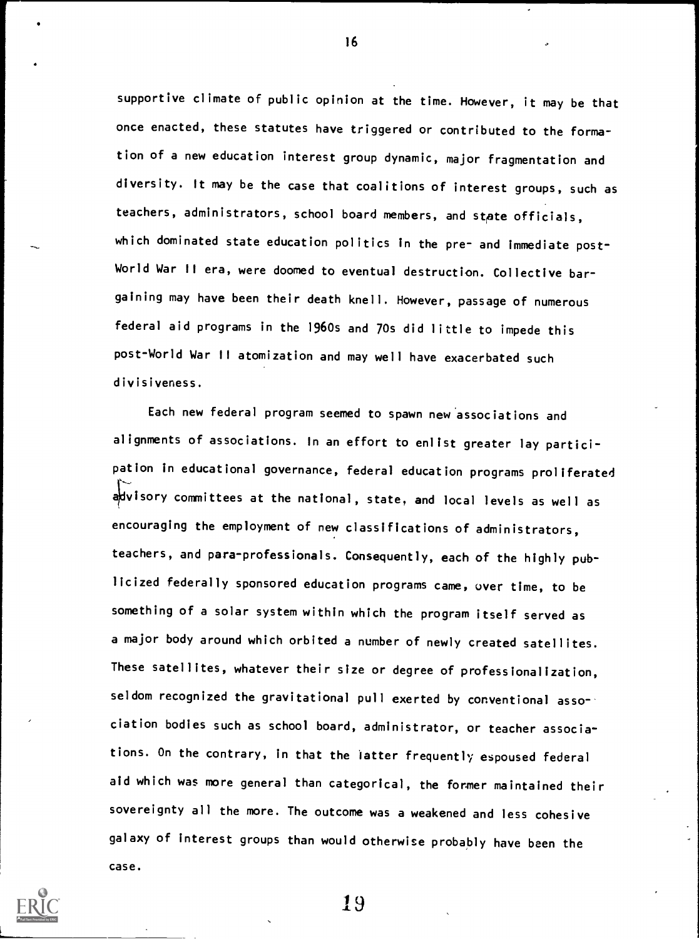supportive climate of public opinion at the time. However, it may be that once enacted, these statutes have triggered or contributed to the formation of a new education interest group dynamic, major fragmentation and diversity. It may be the case that coalitions of interest groups, such as teachers, administrators, school board members, and state officials, which dominated state education politics in the pre- and immediate post-World War II era, were doomed to eventual destruction. Collective bargaining may have been their death knell. However, passage of numerous federal aid programs in the 1960s and 70s did little to impede this post-World War II atomization and may well have exacerbated such divisiveness.

Each new federal program seemed to spawn new associations and alignments of associations. In an effort to enlist greater lay participation in educational governance, federal education programs proliferated advisory committees at the national, state, and local levels as well as encouraging the employment of new classifications of administrators, teachers, and para-professionals. Consequently, each of the highly publicized federally sponsored education programs came, over time, to be something of a solar system within which the program itself served as a major body around which orbited a number of newly created satellites. These satellites, whatever their size or degree of professionalization, seldom recognized the gravitational pull exerted by conventional association bodies such as school board, administrator, or teacher associations. On the contrary, in that the latter frequently espoused federal aid which was more general than categorical, the former maintained their sovereignty all the more. The outcome was a weakened and less cohesive galaxy of interest groups than would otherwise probably have been the case.



16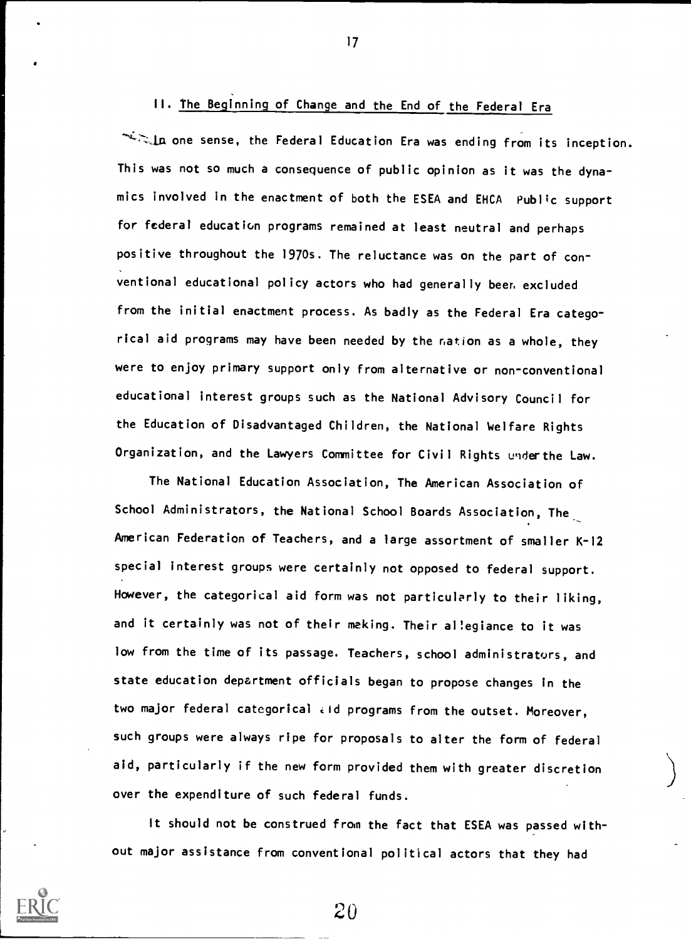# II. The Beginning of Change and the End of the Federal Era

sla one sense, the Federal Education Era was ending from its inception. This was not so much a consequence of public opinion as it was the dynamics involved in the enactment of both the ESEA and EHCA Public support for federal education programs remained at least neutral and perhaps positive throughout the 1970s. The reluctance was on the part of con ventional educational policy actors who had generally beer. excluded from the initial enactment process. As badly as the Federal Era categorical aid programs may have been needed by the ration as a whole, they were to enjoy primary support only from alternative or non-conventional educational interest groups such as the National Advisory Council for the Education of Disadvantaged Children, the National Welfare Rights Organization, and the Lawyers Committee for Civil Rights underthe Law.

The National Education Association, The American Association of School Administrators, the National School Boards Association, The American Federation of Teachers, and a large assortment of smaller K-12 special interest groups were certainly not opposed to federal support. However, the categorical aid form was not particularly to their liking, and it certainly was not of their making. Their aliegiance to it was low from the time of its passage. Teachers, school administrators, and state education department officials began to propose changes in the two major federal categorical eid programs from the outset. Moreover, such groups were always ripe for proposals to alter the form of federal aid, particularly if the new form provided them with greater discretion over the expenditure of such federal funds.

It should not be construed from the fact that ESEA was passed without major assistance from conventional political actors that they had

 $20$ 

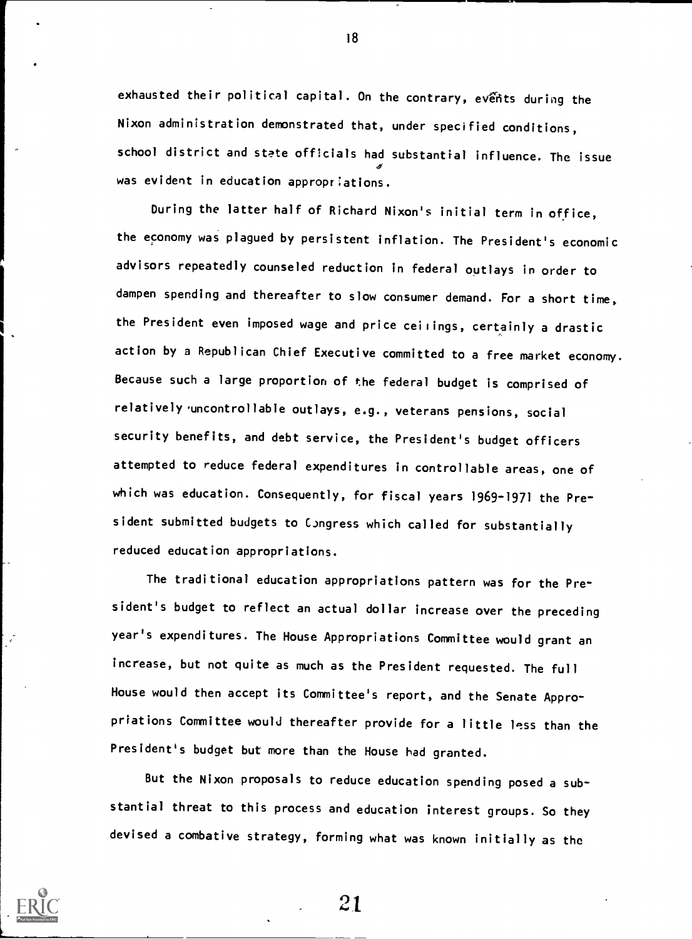exhausted their political capital. On the contrary, events during the Nixon administration demonstrated that, under specified conditions, school district and state officials had substantial influence. The issue  $\sigma$  and  $\sigma$ was evident in education appropriations.

During the latter half of Richard Nixon's initial term in office, the economy was plagued by persistent inflation. The President's economic advisors repeatedly counseled reduction in federal outlays in order to dampen spending and thereafter to slow consumer demand. For a short time, the President even imposed wage and price ceilings, certainly a drastic action by a Republican Chief Executive committed to a free market economy. Because such a large proportion of the federal budget is comprised of relatively uncontrollable outlays, e.g., veterans pensions, social security benefits, and debt service, the President's budget officers attempted to reduce federal expenditures in controllable areas, one of which was education. Consequently, for fiscal years 1969-1971 the President submitted budgets to CJngress which called for substantially reduced education appropriations.

The traditional education appropriations pattern was for the President's budget to reflect an actual dollar increase over the preceding year's expenditures. The House Appropriations Committee would grant an increase, but not quite as much as the President requested. The full House would then accept its Committee's report, and the Senate Appropriations Committee would thereafter provide for a little less than the President's budget but more than the House had granted.

But the Nixon proposals to reduce education spending posed a substantial threat to this process and education interest groups. So they devised a combative strategy, forming what was known initially as the



18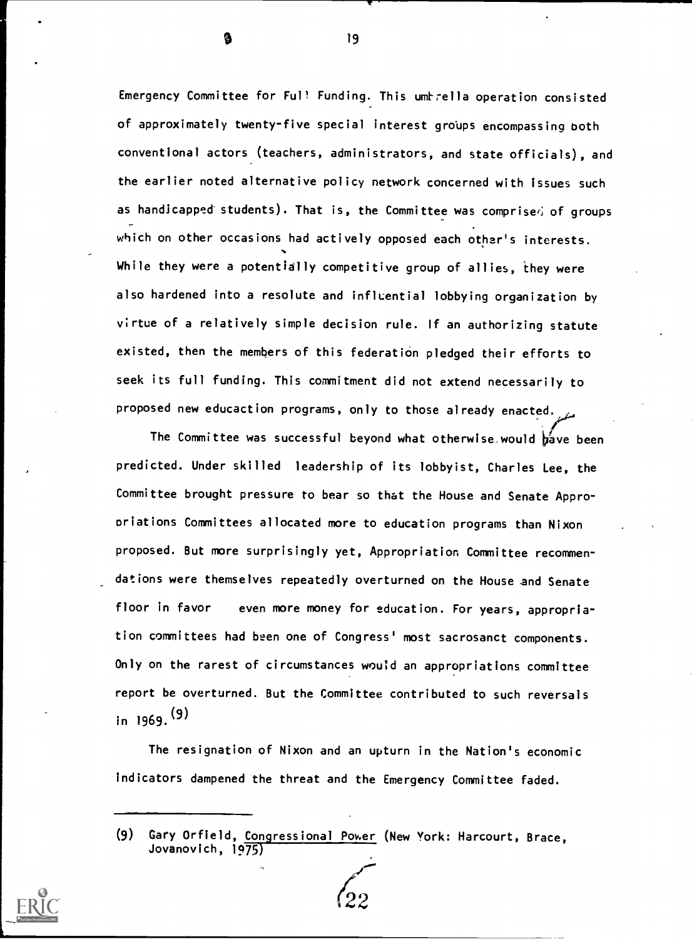Emergency Committee for Ful! Funding. This umtrella operation consisted of approximately twenty-five special interest groups encompassing both conventional actors (teachers, administrators, and state officials), and the earlier noted alternative policy network concerned with issues such as handicapped students). That is, the Committee was comprise $\dot\alpha$  of groups which on other occasions had actively opposed each other's interests. While they were a potentially competitive group of allies, they were also hardened into a resolute and influential lobbying organization by virtue of a relatively simple decision rule. If an authorizing statute existed, then the members of this federation pledged their efforts to seek its full funding. This commitment did not extend necessarily to proposed new educaction programs, only to those already enacted.

The Committee was successful beyond what otherwise would  $\frac{1}{2}$  we been predicted. Under skilled leadership of its lobbyist, Charles Lee, the Committee brought pressure to bear so that the House and Senate Appropriations Committees allocated more to education programs than Nixon proposed. But more surprisingly yet, Appropriation Committee recommen dations were themselves repeatedly overturned on the House and Senate floor in favor even more money for education. For years, appropriation committees had been one of Congress' most sacrosanct components. Only on the rarest of circumstances would an appropriations committee report be overturned. But the Committee contributed to such reversals in 1969. (9)

The resignation of Nixon and an upturn in the Nation's economic indicators dampened the threat and the Emergency Committee faded.



<sup>(9)</sup> Gary Orfield, Congressional Power (New York: Harcourt, Brace, Jovanovich, 1975)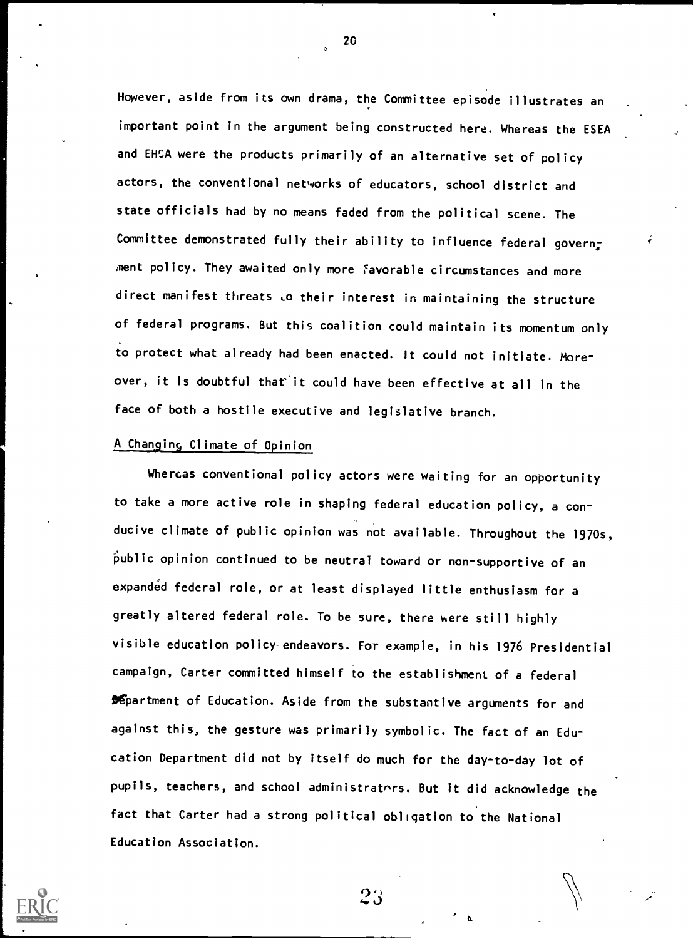However, aside from its own drama, the Committee episode illustrates an important point in the argument being constructed here. Whereas the ESEA and EHCA were the products primarily of an alternative set of policy actors, the conventional networks of educators, school district and state officials had by no means faded from the political scene. The Committee demonstrated fully their ability to influence federal govern<sub>z</sub> ment policy. They awaited only more Favorable circumstances and more direct manifest threats Lo their interest in maintaining the structure of federal programs. But this coalition could maintain its momentum only to protect what already had been enacted. It could not initiate. Moreover, it is doubtful that'it could have been effective at all in the face of both a hostile executive and legislative branch.

#### A Changing Climate of Opinion

Whercas conventional policy actors were waiting for an opportunity to take a more active role in shaping federal education policy, a con ducive climate of public opinion was not available. Throughout the 1970s, public opinion continued to be neutral toward or non-supportive of an expanded federal role, or at least displayed little enthusiasm for a greatly altered federal role. To be sure, there were still highly visible education policy endeavors. For example, in his 1976 Presidential campaign, Carter committed himself to the establishment of a federal **Department of Education. Aside from the substantive arguments for and** against this, the gesture was primarily symbolic. The fact of an Education Department did not by itself do much for the day-to-day lot of pupils, teachers, and school administrators. But it did acknowledge the fact that Carter had a strong political obligation to the National Education Association.



20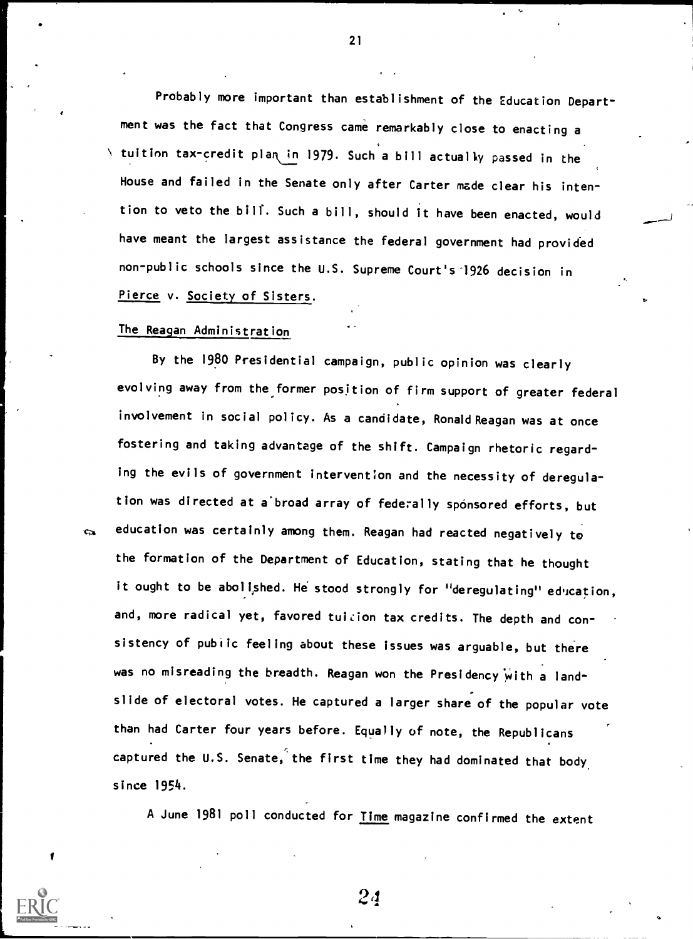Probably more important than establishment of the Education Department was the fact that Congress came remarkably close to enacting a  $\setminus$  tuition tax-credit plan in 1979. Such a bill actually passed in the House and failed in the Senate only after Carter made clear his intention to veto the bill. Such a bill, should it have been enacted, would have meant the largest assistance the federal government had provided non-public schools since the U.S. Supreme Court's'1926 decision in Pierce v. Society of Sisters.

#### The Reagan Administration

By the 1980 Presidential campaign, public opinion was clearly evolving away from the former position of firm support of greater federal involvement in social policy. As a candidate, Ronald Reagan was at once fostering and taking advantage of the shift. Campaign rhetoric regarding the evils of government intervention and the necessity of deregulation was directed at a broad array of federally sponsored efforts, but education was certainly among them. Reagan had reacted negatively to the formation of the Department of Education, stating that he thought it ought to be abolished. He stood strongly for "deregulating" education, and, more radical yet, favored tuition tax credits. The depth and consistency of public feeling about these issues was arguable, but there was no misreading the breadth. Reagan won the Presidency with a landslide of electoral votes. He captured a larger share of the popular vote than had Carter four years before. Equally of note, the Republicans captured the U.S. Senate, the first time they had dominated that body since 1954.

A June 1981 poll conducted for Time magazine confirmed the extent



Ċ.

 $24$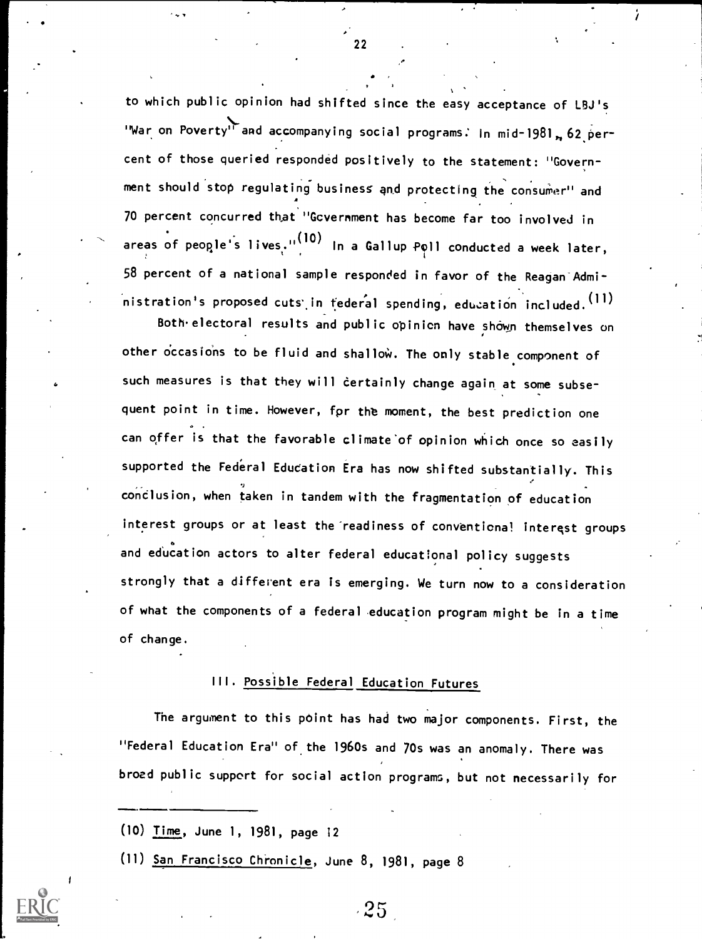to which public opinion had shifted since the easy acceptance of LBJ's "War on Poverty" and accompanying social programs: In mid-1981, 62 percent of those queried responded positively to the statement: "Government should stop regulating business and protecting the consumer" and 70 percent concurred that "Government has become far too involved in areas of people's lives."<sup>(10)</sup> In a Gallup Poll conducted a week later, 58 percent of a national sample responded in favor of the Reagan Administration's proposed cuts in tederal spending, education included. (11)

Both.electoral results and public opinion have shown themselves on other occasions to be fluid and shallow. The only stable component of such measures is that they will certainly change again at some subsequent point in time. However, for the moment, the best prediction one can offer is that the favorable climate'of opinion which once so easily supported the Federal Education Era has now shifted substantially. This conclusion, when taken in tandem with the fragmentation of education interest groups or at least the readiness of conventional interest groups and education actors to alter federal educational policy suggests strongly that a diffevent era is emerging. We turn now to a consideration of what the components of a federal education program might be in a time of change.

### III. Possible Federal Education Futures

The argument to this point has had two major components. First, the "Federal Education Era" of the 1960s and 70s was an anomaly. There was broad public support for social action program, but not necessarily for

(10) Time, June 1, 1981, page 12

(11) San Francisco Chronicle, June 8, 1981, page 8



 $25<sub>2</sub>$ 

22

 $\lambda$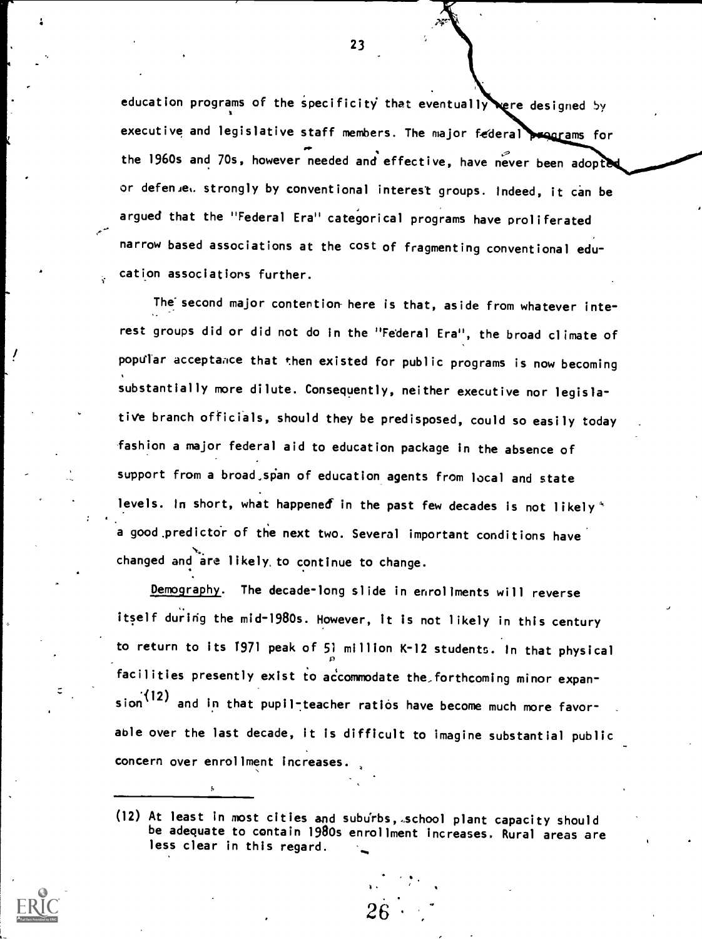education programs of the specificity that eventually rere designed by executive and legislative staff members. The major federal programs for  $\overline{a}$  and  $\overline{a}$ the 1960s and 70s, however needed and effective, have never been adopted or defenue. strongly by conventional interest groups. Indeed, it can be argued that the "Federal Era" categorical programs have proliferated narrow based associations at the cost of fragmenting conventional education associations further.

The second major contention here is that, aside from whatever interest groups did or did not do in the "Federal Era", the broad climate of popular acceptance that then existed for public programs is now becoming substantially more dilute. Consequently, neither executive nor legislative branch officials, should they be predisposed, could so easily today fashion a major federal aid to education package in the absence of support from a broad, span of education agents from local and state levels. In short, what happened in the past few decades is not likely  $\overline{ }$ a good predictor of the next two. Several important conditions have changed and are likely, to continue to change.

Demography. The decade-long slide in enrollments will reverse itself during the mid-1980s. However, it is not likely in this century to return to its 1971 peak of 51 million K-12 students. In that physical facilities presently exist to accommodate the forthcoming minor expansion<sup>'(12)</sup> and in that pupil-teacher ratios have become much more favorable over the last decade, it is difficult to imagine substantial public concern over enrollment increases.

).

26

<sup>(12)</sup> At least in most cities and suburbs, school plant capacity should be adequate to contain 1980s enrollment increases. Rural areas are less clear in this regard.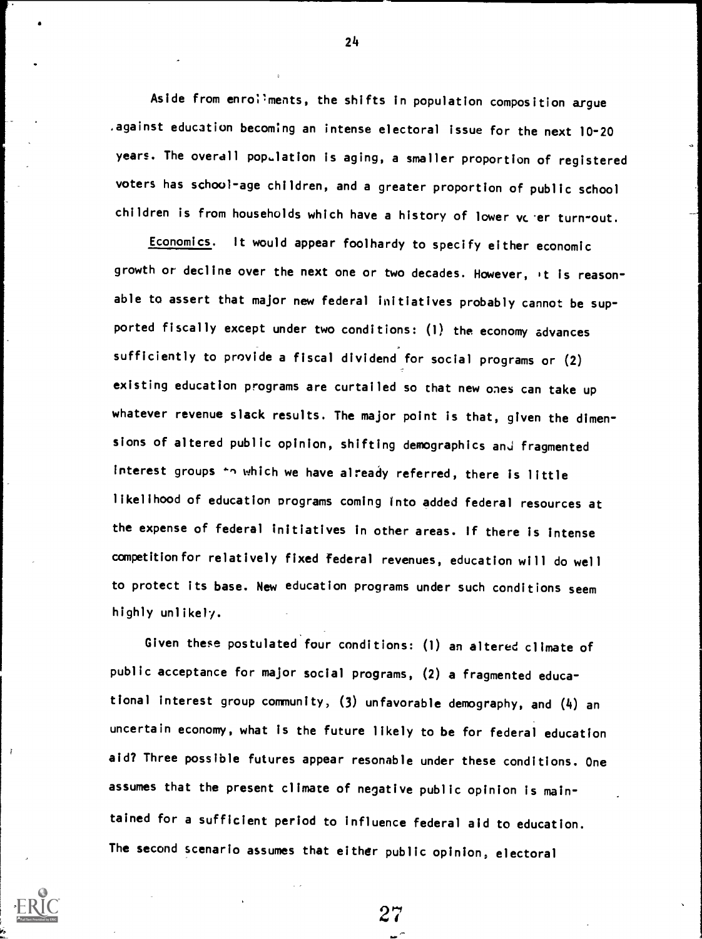Aside from enroliments, the shifts in population composition argue .against education becoming an intense electoral issue for the next 10-20 years. The overall population is aging, a smaller proportion of registered voters has school-age children, and a greater proportion of public school children is from households which have a history of lower vere turn-out.

Economics. It would appear foolhardy to specify either economic growth or decline over the next one or two decades. However, it is reasonable to assert that major new federal initiatives probably cannot be supported fiscally except under two conditions: (1) the economy advances sufficiently to provide a fiscal dividend for social programs or (2) existing education programs are curtailed so that new ones can take up whatever revenue slack results. The major point is that, given the dimensions of altered public opinion, shifting demographics and fragmented interest groups 'n which we have already referred, there is little likelihood of education programs coming into added federal resources at the expense of federal initiatives in other areas. If there is intense competition for relatively fixed federal revenues, education will do well to protect its base. New education programs under such conditions seem highly unlikely.

Given these postulated four conditions: (1) an altered climate of public acceptance for major social programs, (2) a fragmented educational interest group community, (3) unfavorable demography, and (4) an uncertain economy, what is the future likely to be for federal education aid? Three possible futures appear resonable under these conditions. One assumes that the present climate of negative public opinion is maintained for a sufficient period to influence federal aid to education. The second scenario assumes that either public opinion, electoral

 $27 \,$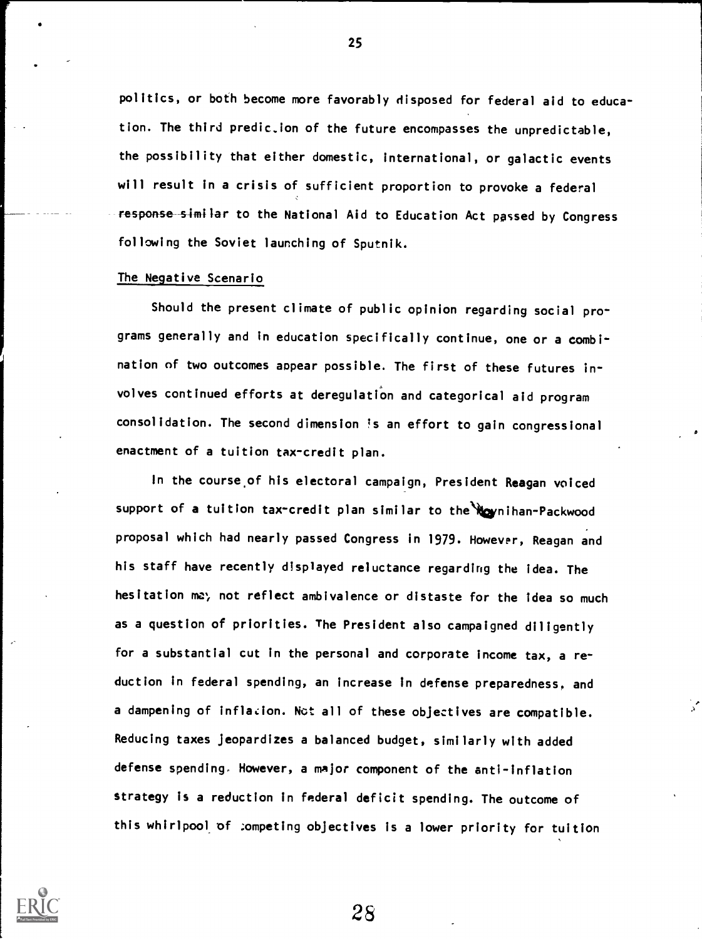politics, or both become more favorably disposed for federal aid to education. The third predic.ion of the future encompasses the unpredictable, the possibility that either domestic, international, or galactic events will result in a crisis of sufficient proportion to provoke a federal response similar to the National Aid to Education Act passed by Congress following the Soviet launching of Sputnik.

#### The Negative Scenario

Should the present climate of public opinion regarding social programs generally and in education specifically continue, one or a combination of two outcomes appear possible. The first of these futures involves continued efforts at deregulation and categorical aid program consolidation. The second dimension is an effort to gain congressional enactment of a tuition tax-credit plan.

In the course.of his electoral campaign, President Reagan voiced support of a tuition tax-credit plan similar to the Wownihan-Packwood proposal which had nearly passed Congress in 1979. However, Reagan and his staff have recently displayed reluctance regarding the idea. The hesitation me; not reflect ambivalence or distaste for the Idea so much as a question of priorities. The President also campaigned diligently for a substantial cut in the personal and corporate income tax, a reduction in federal spending, an increase in defense preparedness, and a dampening of inflation. Not all of these objectives are compatible. Reducing taxes jeopardizes a balanced budget, similarly with added defense spending. However, a major component of the anti- inflation strategy is a reduction in federal deficit spending. The outcome of this whirlpool of competing objectives is a lower priority for tuition



25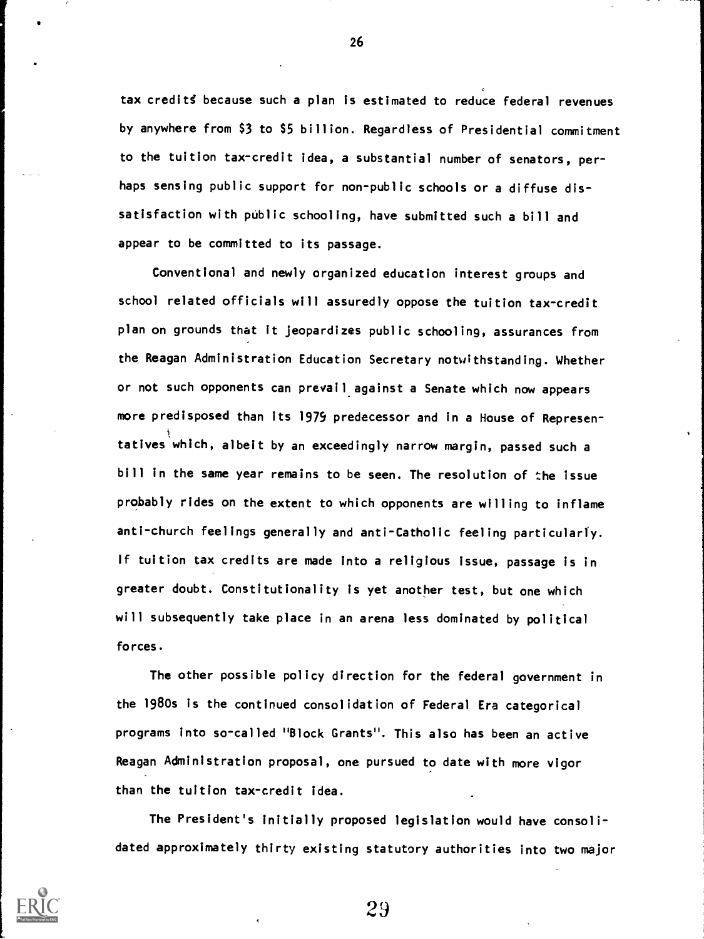tax credits because such a plan is estimated to reduce federal revenues by anywhere from \$3 to \$5 billion. Regardless of Presidential commitment to the tuition tax-credit idea, a substantial number of senators, perhaps sensing public support for non-public schools or a diffuse dissatisfaction with public schooling, have submitted such a bill and appear to be committed to its passage.

Conventional and newly organized education interest groups and school related officials will assuredly oppose the tuition tax-credit plan on grounds that it Jeopardizes public schooling, assurances from the Reagan Administration Education Secretary notwithstanding. Whether or not such opponents can prevail against a Senate which now appears more predisposed than its 1979 predecessor and in a House of Represen tatives which, albeit by an exceedingly narrow margin, passed such a bill in the same year remains to be seen. The resolution of the issue probably rides on the extent to which opponents are willing to inflame anti-church feelings generally and anti-Catholic feeling particularly. If tuition tax credits are made into a religious issue, passage is in greater doubt. Constitutionality is yet another test, but one which will subsequently take place in an arena less dominated by political forces.

The other possible policy direction for the federal government in the 1980s is the continued consolidation of Federal Era categorical programs into so-called "Block Grants". This also has been an active Reagan Administration proposal, one pursued to date with more vigor than the tuition tax-credit idea.

The President's initially proposed legislation would have consolidated approximately thirty existing statutory authorities into two major



26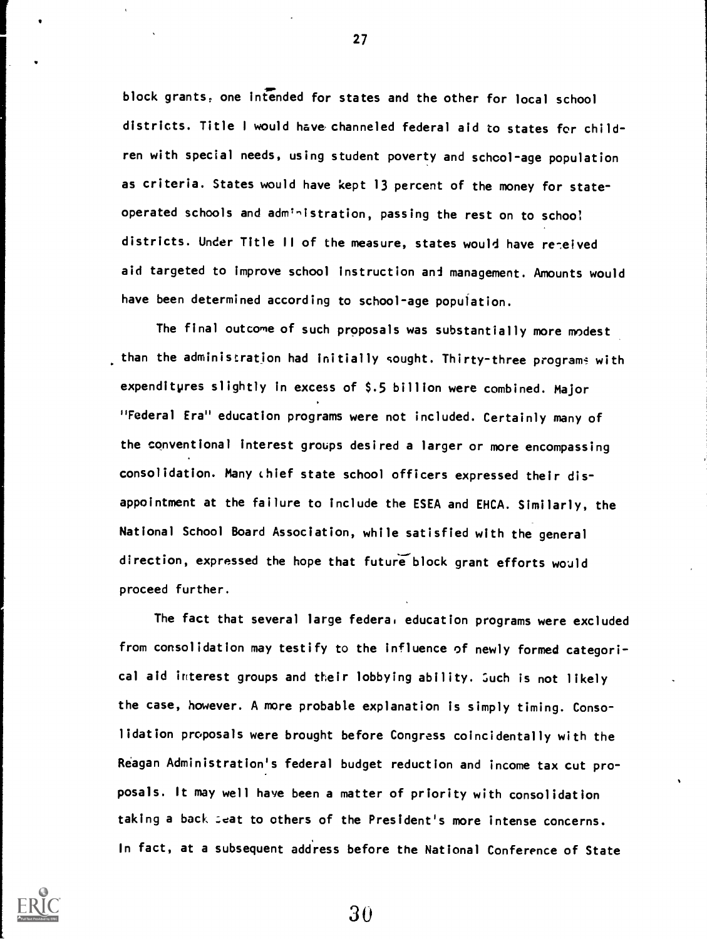block grants, one intended for states and the other for local school districts. Title 1 would have channeled federal aid to states for children with special needs, using student poverty and school-age population as criteria. States would have kept 13 percent of the money for stateoperated schools and administration, passing the rest on to school districts. Under Title II of the measure, states would have re-eived aid targeted to improve school instruction and management. Amounts would have been determined according to school-age population.

The final outcome of such proposals was substantially more modest than the administration had initially sought. Thirty-three programs with expenditpres slightly in excess of \$.5 billion were combined. Major "Federal Era" education programs were not included. Certainly many of the conventional interest groups desired a larger or more encompassing consolidation. Many chief state school officers expressed their disappointment at the failure to include the ESEA and EHCA. Similarly, the National School Board Association, while satisfied with the general direction, expressed the hope that future block grant efforts would proceed further.

The fact that several large federal education programs were excluded from consolidation may testify to the influence of newly formed categorical aid interest groups and their lobbying ability. such is not likely the case, however. A more probable explanation is simply timing. Consolidation proposals were brought before Congress coincidentally with the Reagan Administration's federal budget reduction and income tax cut proposals. It may well have been a matter of priority with consolidation taking a back Leat to others of the President's more intense concerns. In fact, at a subsequent address before the National Conference of State



27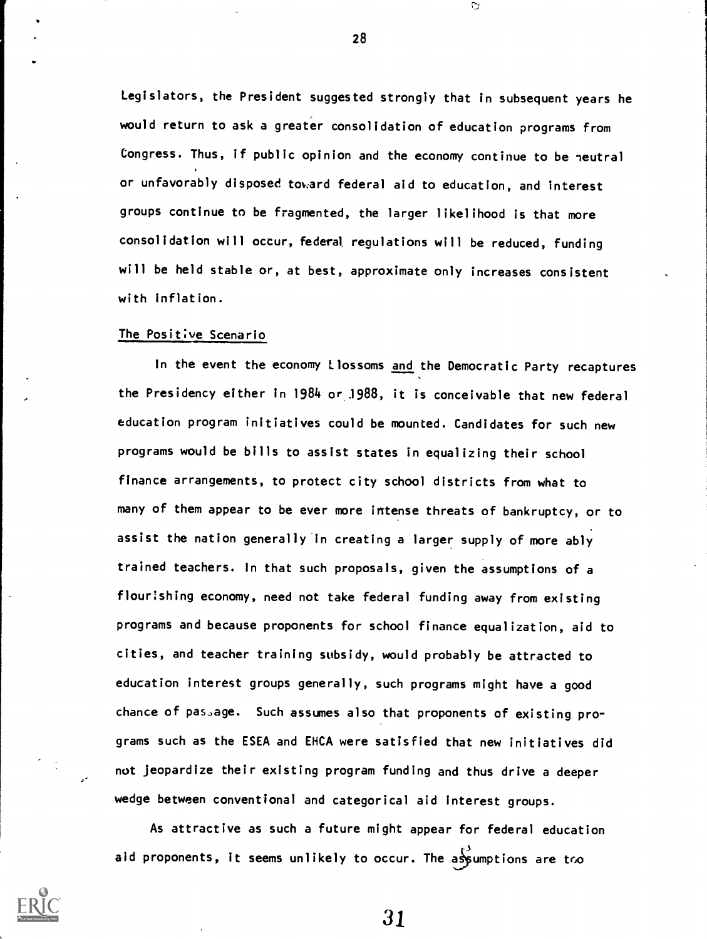Legislators, the President suggested strongly that in subsequent years he would return to ask a greater consolidation of education programs from Congress. Thus, if public opinion and the economy continue to be neutral or unfavorably disposed toward federal aid to education, and interest groups continue to be fragmented, the larger likelihood is that more consolidation will occur, federal, regulations will be reduced, funding will be held stable or, at best, approximate only increases consistent with inflation.

#### The Positive Scenario

In the event the economy ilossoms and the Democratic Party recaptures the Presidency either in 1984 or J988, it is conceivable that new federal education program initiatives could be mounted. Candidates for such new programs would be bills to assist states in equalizing their school finance arrangements, to protect city school districts from what to many of them appear to be ever more intense threats of bankruptcy, or to assist the nation generally in creating a larger supply of more ably trained teachers. In that such proposals, given the assumptions of a flourishing economy, need not take federal funding away from existing programs and because proponents for school finance equalization, aid to cities, and teacher training subsidy, would probably be attracted to education interest groups generally, such programs might have a good chance of passage. Such assumes also that proponents of existing programs such as the ESEA and EHCA were satisfied that new initiatives did not jeopardize their existing program funding and thus drive a deeper wedge between conventional and categorical aid interest groups.

As attractive as such a future might appear for federal education aid proponents, it seems unlikely to occur. The assumptions are tro



28

C,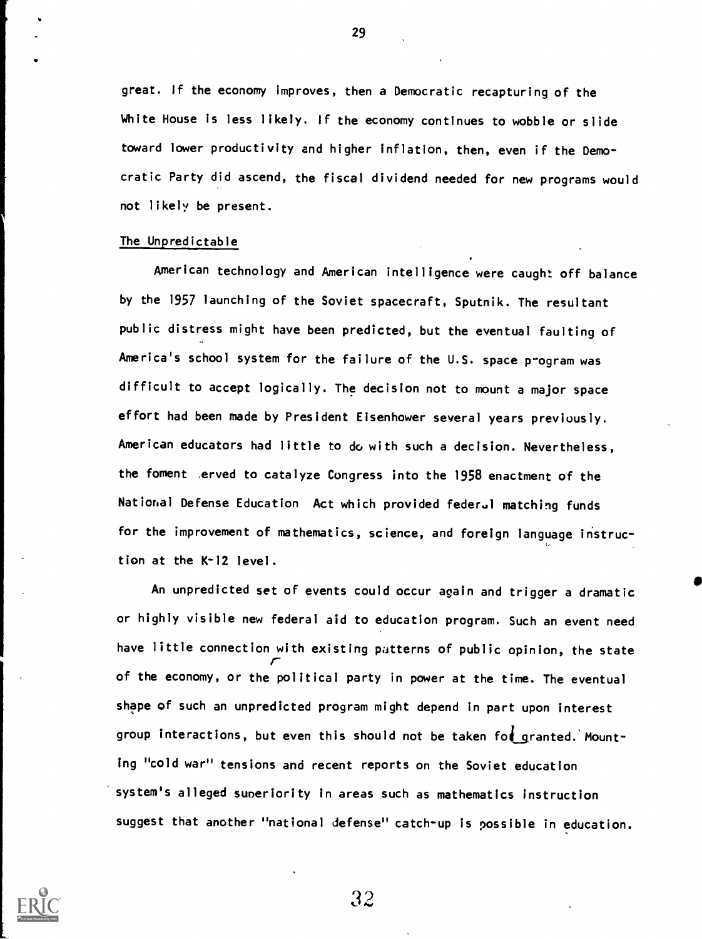great. If the economy improves, then a Democratic recapturing of the White House is less likely. If the economy continues to wobble or slide toward lower productivity and higher inflation, then, even if the Democratic Party did ascend, the fiscal dividend needed for new programs would not likely be present.

#### The Unpredictable

American technology and American intelligence were caught off balance by the 1957 launching of the Soviet spacecraft, Sputnik. The resultant public distress might have been predicted, but the eventual faulting of America's school system for the failure of the U.S. space program was difficult to accept logically. The decision not to mount a major space effort had been made by President Eisenhower several years previously. American educators had little to do with such a decision. Nevertheless, the foment erved to catalyze Congress into the 1958 enactment of the National Defense Education Act which provided federal matching funds for the improvement of mathematics, science, and foreign language instruction at the K-12 level.

An unpredicted set of events could occur again and trigger a dramatic or highly visible new federal aid to education program. Such an event need have little connection with existing patterns of public opinion, the state r of the economy, or the political party in power at the time. The eventual shape of such an unpredicted program might depend in part upon interest group interactions, but even this should not be taken for granted. Mounting "cold war" tensions and recent reports on the Soviet education system's alleged suneriority in areas such as mathematics instruction suggest that another "national defense" catch-up is possible in education.



29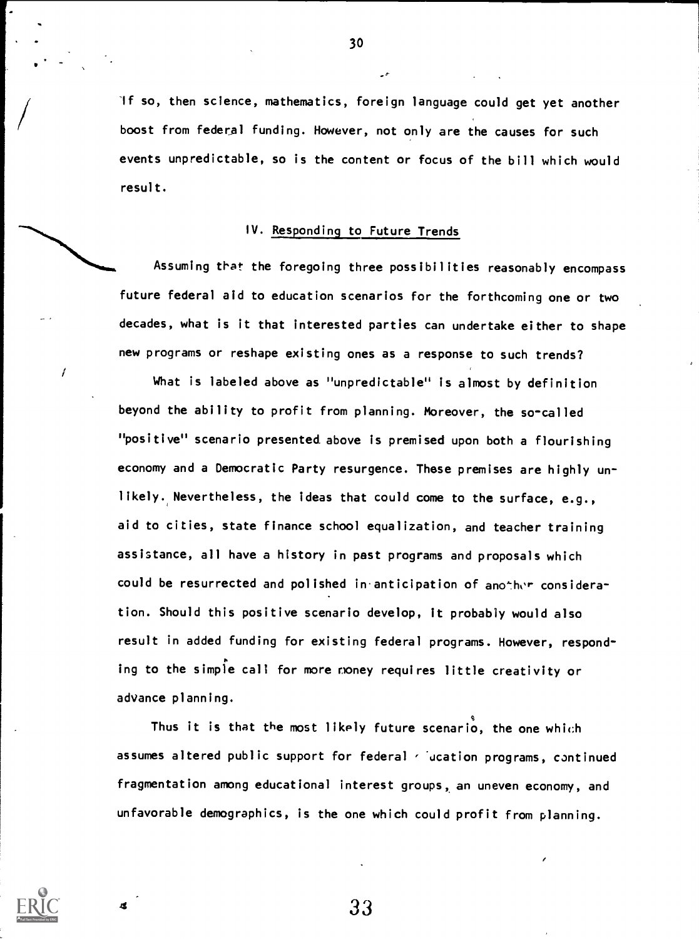if so, then science, mathematics, foreign language could get yet another boost from federal funding. However, not only are the causes for such events unpredictable, so is the content or focus of the bill which would result.

# IV. Responding to Future Trends

ł

Assuming that the foregoing three possibilities reasonably encompass future federal aid to education scenarios for the forthcoming one or two decades, what is it that interested parties can undertake either to shape new programs or reshape existing ones as a response to such trends?

What is labeled above as "unpredictable" is almost by definition beyond the ability to profit from planning. Moreover, the so-called "positive" scenario presented above is premised upon both a flourishing economy and a Democratic Party resurgence. These premises are highly unlikely. Nevertheless, the ideas that could come to the surface, e.g., aid to cities, state finance school equalization, and teacher training assistance, all have a history in past programs and proposals which could be resurrected and polished in anticipation of another consideration. Should this positive scenario develop, it probably would also result in added funding for existing federal programs. However, responding to the simple call for more noney requires little creativity or advance planning.

Thus it is that the most likely future scenari $\stackrel{\bullet}{\mathsf{o}}$ , the one whi $c$ h assumes altered public support for federal  $\cdot$  ucation programs, continued fragmentation among educational interest groups, an uneven economy, and unfavorable demographics, is the one which could profit from planning.

33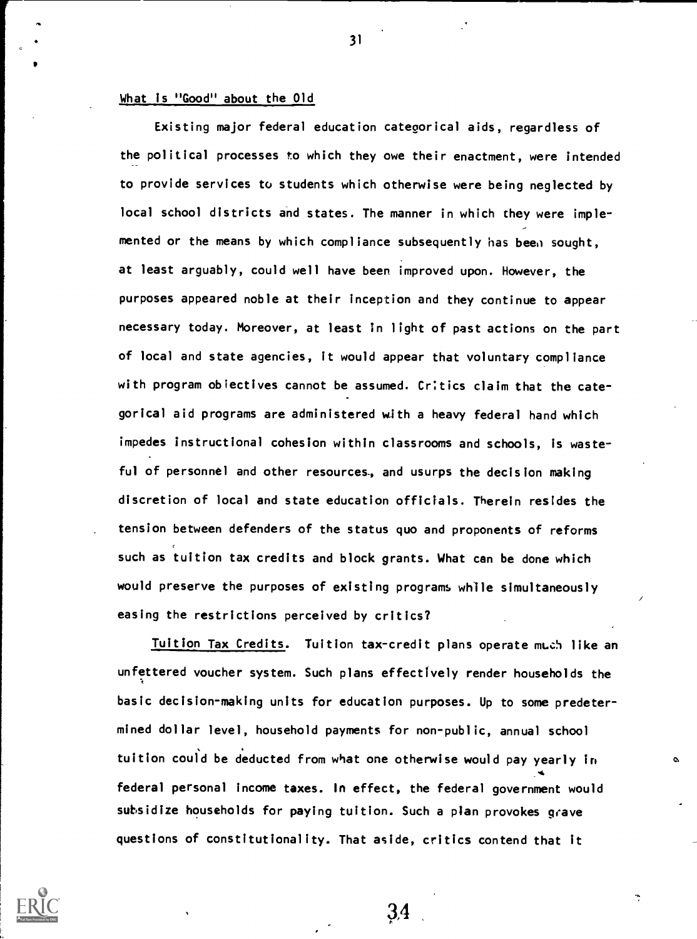#### What is "Good" about the Old

Existing major federal education categorical aids, regardless of the political processes to which they owe their enactment, were intended to provide services to students which otherwise were being neglected by local school districts and states. The manner in which they were implemented or the means by which compliance subsequently has been sought. at least arguably, could well have been improved upon. However, the purposes appeared noble at their inception and they continue to appear necessary today. Moreover, at least in light of past actions on the part of local and state agencies, it would appear that voluntary compliance with program obiectives cannot be assumed. Critics claim that the categorical aid programs are administered with a heavy federal hand which impedes instructional cohesion within classrooms and schools, is wasteful of personnel and other resources, and usurps the decision making discretion of local and state education officials. Therein resides the tension between defenders of the status quo and proponents of reforms such as tuition tax credits and block grants. What can be done which would preserve the purposes of existing programs while simultaneously easing the restrictions perceived by critics?

Tuition Tax Credits. Tuition tax-credit plans operate much like an unfettered voucher system. Such plans effectively render households the basic decision-making units for education purposes. Up to some predetermined dollar level, household payments for non-public, annual school tuition could be deducted from what one otherwise would pay yearly in federal personal income taxes. In effect, the federal government would subsidize households for paying tuition. Such a plan provokes grave questions of constitutionality. That aside, critics contend that it

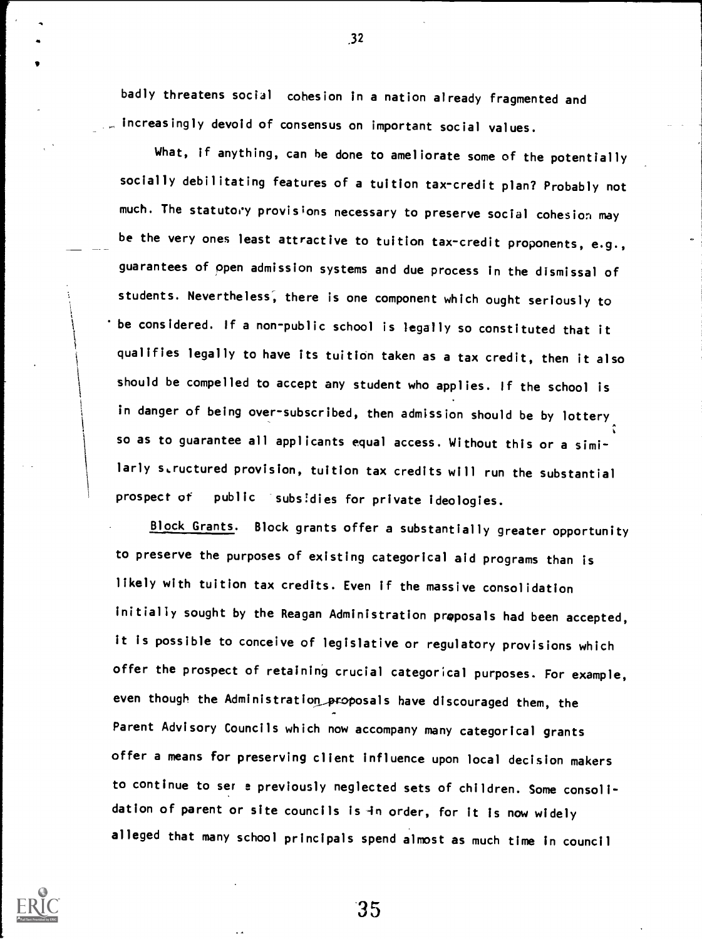badly threatens social cohesion in a nation already fragmented and increasingly devoid of consensus on important social values.

What, if anything, can he done to ameliorate some of the potentially socially debilitating features of a tuition tax-credit plan? Probably not much. The statutory provisions necessary to preserve social cohesion may be the very ones least attractive to tuition tax-credit proponents, e.g., guarantees of open admission systems and due process in the dismissal of students. Nevertheless; there is one component which ought seriously to be considered. If a non-public school is legally so constituted that it qualifies legally to have its tuition taken as a tax credit, then it also should be compelled to accept any student who applies. If the school is in danger of being over-subscribed, then admission should be by lottery so as to guarantee all applicants equal access. Without this or a similarly structured provision, tuition tax credits will run the substantial prospect of public subsidies for private ideologies.

Block Grants. Block grants offer a substantially greater opportunity to preserve the purposes of existing categorical aid programs than is likely with tuition tax credits. Even if the massive consolidation initially sought by the Reagan Administration proposals had been accepted, it is possible to conceive of legislative or regulatory provisions which offer the prospect of retaining crucial categorical purposes. For example, even though the Administration proposals have discouraged them, the Parent Advisory Councils which now accompany many categorical grants offer a means for preserving client influence upon local decision makers to continue to ser e previously neglected sets of children. Some consolidation of parent or site councils is -in order, for it is now widely alleged that many school principals spend almost as much time in council



35

.32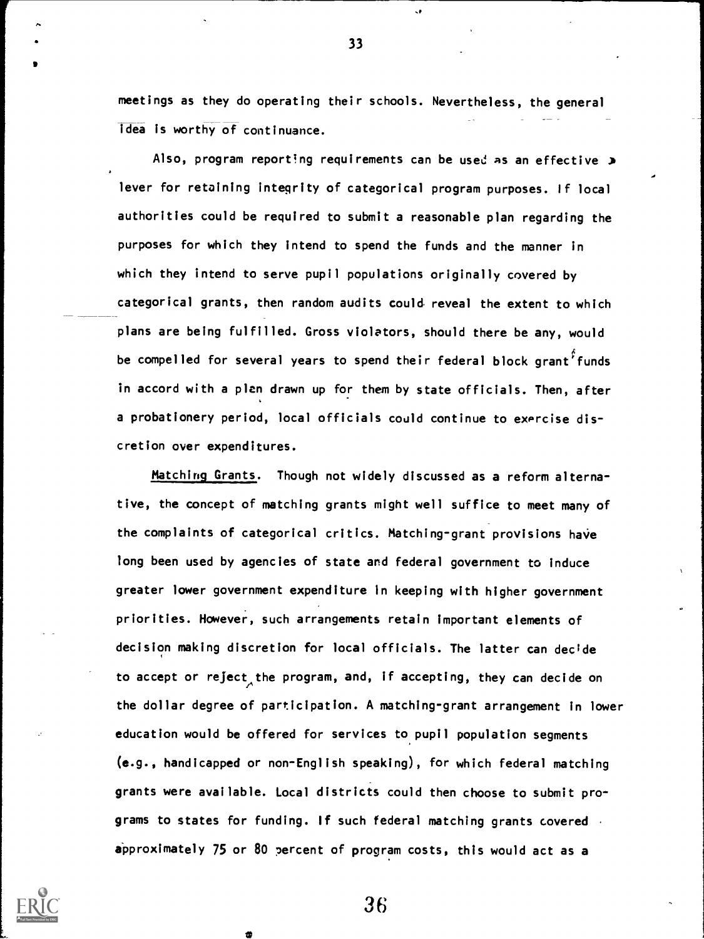meetings as they do operating their schools. Nevertheless, the general idea is worthy of continuance.

Also, program reporting requirements can be used as an effective > lever for retaining integrity of categorical program purposes. If local authorities could be required to submit a reasonable plan regarding the purposes for which they intend to spend the funds and the manner in which they intend to serve pupil populations originally covered by categorical grants, then random audits could reveal the extent to which plans are being fulfilled. Gross violators, should there be any, would be compelled for several years to spend their federal block grant<sup>f</sup> funds in accord with a plan drawn up for them by state officials. Then, after a probationery period, local officials could continue to exercise discretion over expenditures.

Matching Grants. Though not widely discussed as a reform alternative, the concept of matching grants might well suffice to meet many of the complaints of categorical critics. Matching-grant provisions have long been used by agencies of state and federal government to induce greater lower government expenditure in keeping with higher government priorities. However, such arrangements retain important elements of decision making discretion for local officials. The latter can decide to accept or reject the program, and, if accepting, they can decide on the dollar degree of participation. A matching-grant arrangement in lower education would be offered for services to pupil population segments (e.g., handicapped or non-English speaking), for which federal matching grants were available. Local districts could then choose to submit programs to states for funding. If such federal matching grants covered . approximately 75 or 80 percent of program costs, this would act as a



36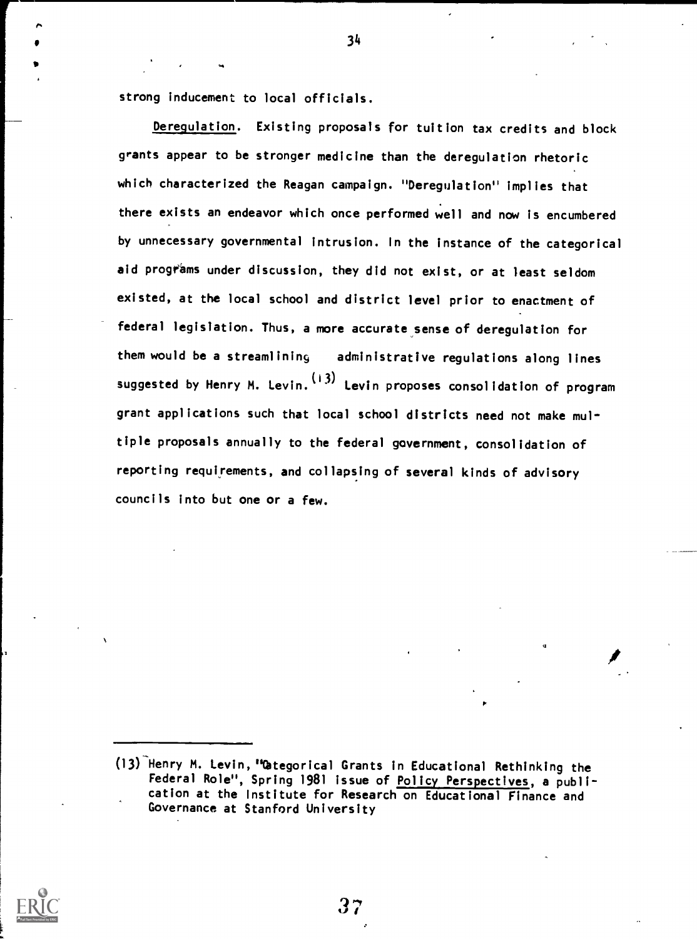strong inducement to local officials.

Deregulation. Existing proposals for tuition tax credits and block grants appear to be stronger medicine than the deregulation rhetoric which characterized the Reagan campaign. "Deregulation" implies that there exists an endeavor which once performed well and now is encumbered by unnecessary governmental intrusion. In the instance of the categorical aid programs under discussion, they did not exist, or at least seldom existed, at the local school and district level prior to enactment of federal legislation. Thus, a more accurate sense of deregulation for them would be a streamlining administrative regulations along lines suggested by Henry M. Levin. (13) Levin proposes consolidation of program grant applications such that local school districts need not make multiple proposals annually to the federal government, consolidation of reporting requirements, and collapsing of several kinds of advisory councils into but one or a few.



37

<sup>(13)</sup> Henry M. Levin, "Categorical Grants in Educational Rethinking the Federal Role", Spring 1981 issue of Policy Perspectives, a publication at the Institute for Research on Educational Finance and Governance at Stanford University